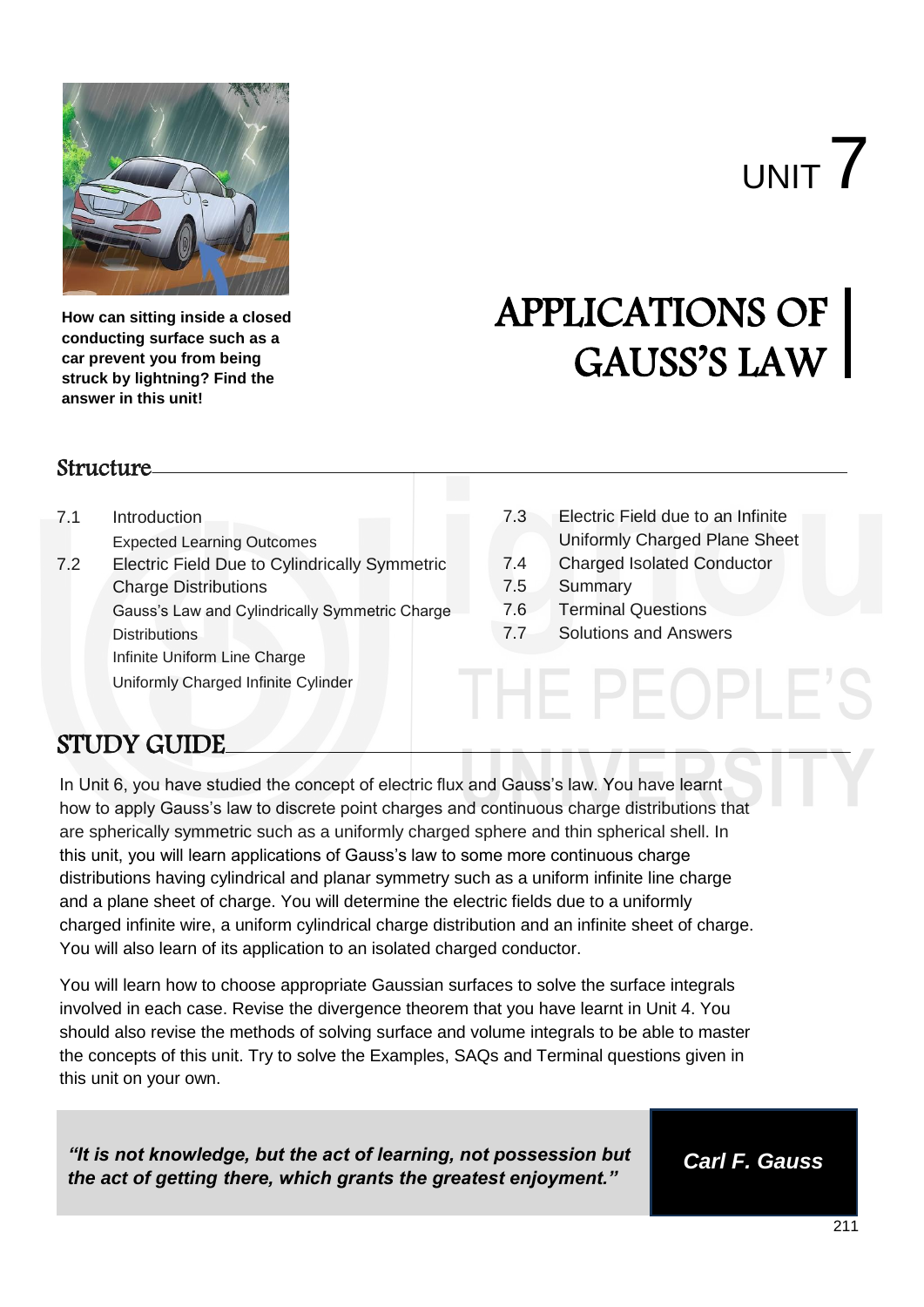

**How can sitting inside a closed conducting surface such as a car prevent you from being struck by lightning? Find the answer in this unit!**

# UNIT 7

# APPLICATIONS OF GAUSS'S LAW

#### **Structure**

- 7.1 Introduction
	- Expected Learning Outcomes
- 7.2 Electric Field Due to Cylindrically Symmetric Charge Distributions Gauss"s Law and Cylindrically Symmetric Charge **Distributions** Infinite Uniform Line Charge Uniformly Charged Infinite Cylinder
- 7.3 Electric Field due to an Infinite Uniformly Charged Plane Sheet
- 7.4 Charged Isolated Conductor
- 7.5 Summary
- 7.6 Terminal Questions
- 7.7 Solutions and Answers

HE PFOPL

# STUDY GUIDE

In Unit 6, you have studied the concept of electric flux and Gauss's law. You have learnt how to apply Gauss's law to discrete point charges and continuous charge distributions that are spherically symmetric such as a uniformly charged sphere and thin spherical shell. In this unit, you will learn applications of Gauss's law to some more continuous charge distributions having cylindrical and planar symmetry such as a uniform infinite line charge and a plane sheet of charge. You will determine the electric fields due to a uniformly charged infinite wire, a uniform cylindrical charge distribution and an infinite sheet of charge. You will also learn of its application to an isolated charged conductor.

You will learn how to choose appropriate Gaussian surfaces to solve the surface integrals involved in each case. Revise the divergence theorem that you have learnt in Unit 4. You should also revise the methods of solving surface and volume integrals to be able to master the concepts of this unit. Try to solve the Examples, SAQs and Terminal questions given in this unit on your own.

*"It is not knowledge, but the act of learning, not possession but the act of getting there, which grants the greatest enjoyment."*

*Carl F. Gauss*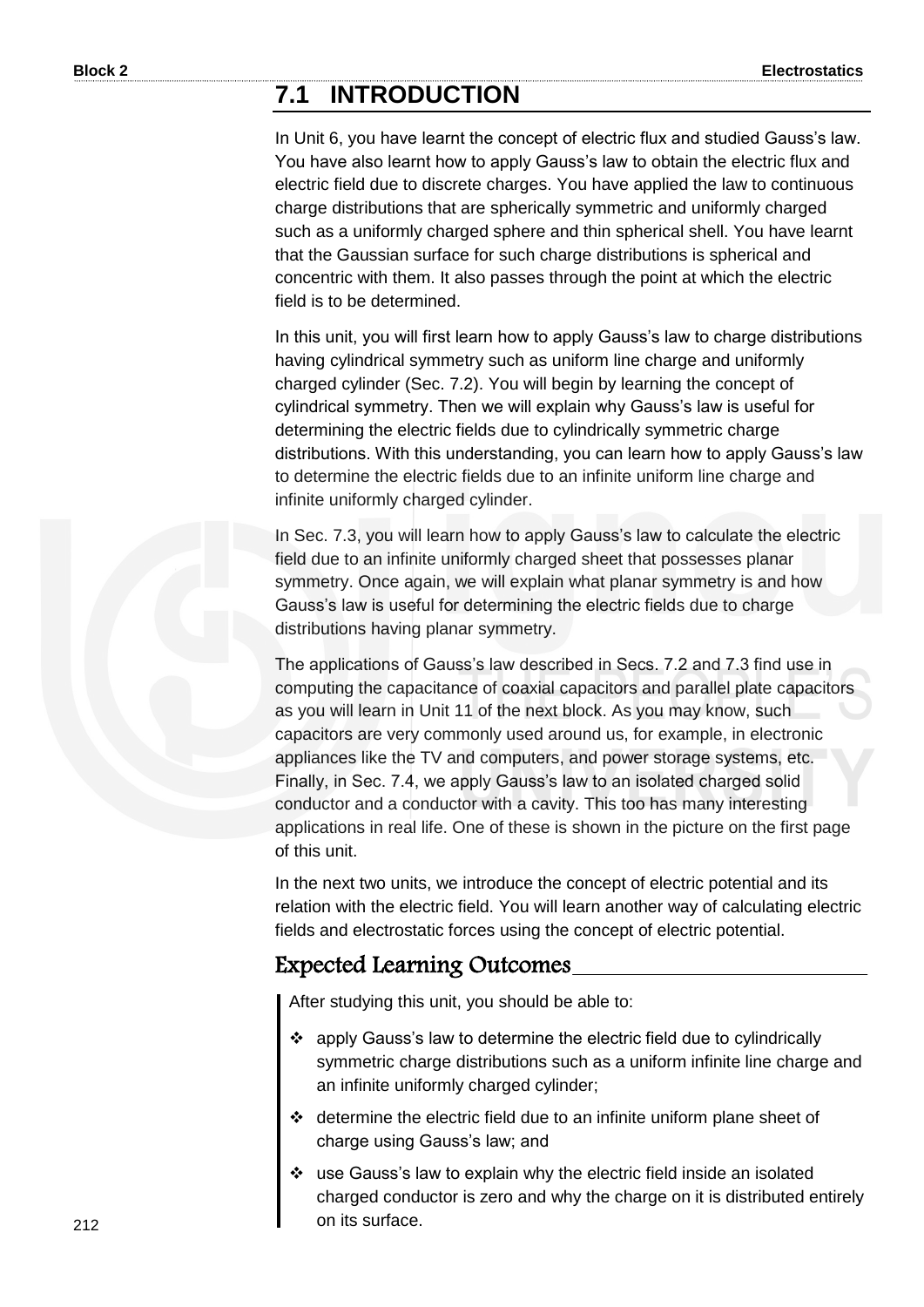### **7.1 INTRODUCTION**

In Unit 6, you have learnt the concept of electric flux and studied Gauss"s law. You have also learnt how to apply Gauss's law to obtain the electric flux and electric field due to discrete charges. You have applied the law to continuous charge distributions that are spherically symmetric and uniformly charged such as a uniformly charged sphere and thin spherical shell. You have learnt that the Gaussian surface for such charge distributions is spherical and concentric with them. It also passes through the point at which the electric field is to be determined.

In this unit, you will first learn how to apply Gauss's law to charge distributions having cylindrical symmetry such as uniform line charge and uniformly charged cylinder (Sec. 7.2). You will begin by learning the concept of cylindrical symmetry. Then we will explain why Gauss"s law is useful for determining the electric fields due to cylindrically symmetric charge distributions. With this understanding, you can learn how to apply Gauss"s law to determine the electric fields due to an infinite uniform line charge and infinite uniformly charged cylinder.

In Sec. 7.3, you will learn how to apply Gauss's law to calculate the electric field due to an infinite uniformly charged sheet that possesses planar symmetry. Once again, we will explain what planar symmetry is and how Gauss's law is useful for determining the electric fields due to charge distributions having planar symmetry.

The applications of Gauss's law described in Secs. 7.2 and 7.3 find use in computing the capacitance of coaxial capacitors and parallel plate capacitors as you will learn in Unit 11 of the next block. As you may know, such capacitors are very commonly used around us, for example, in electronic appliances like the TV and computers, and power storage systems, etc. Finally, in Sec. 7.4, we apply Gauss's law to an isolated charged solid conductor and a conductor with a cavity. This too has many interesting applications in real life. One of these is shown in the picture on the first page of this unit.

In the next two units, we introduce the concept of electric potential and its relation with the electric field. You will learn another way of calculating electric fields and electrostatic forces using the concept of electric potential.

#### Expected Learning Outcomes

After studying this unit, you should be able to:

- apply Gauss"s law to determine the electric field due to cylindrically symmetric charge distributions such as a uniform infinite line charge and an infinite uniformly charged cylinder;
- determine the electric field due to an infinite uniform plane sheet of charge using Gauss"s law; and
- use Gauss"s law to explain why the electric field inside an isolated charged conductor is zero and why the charge on it is distributed entirely on its surface.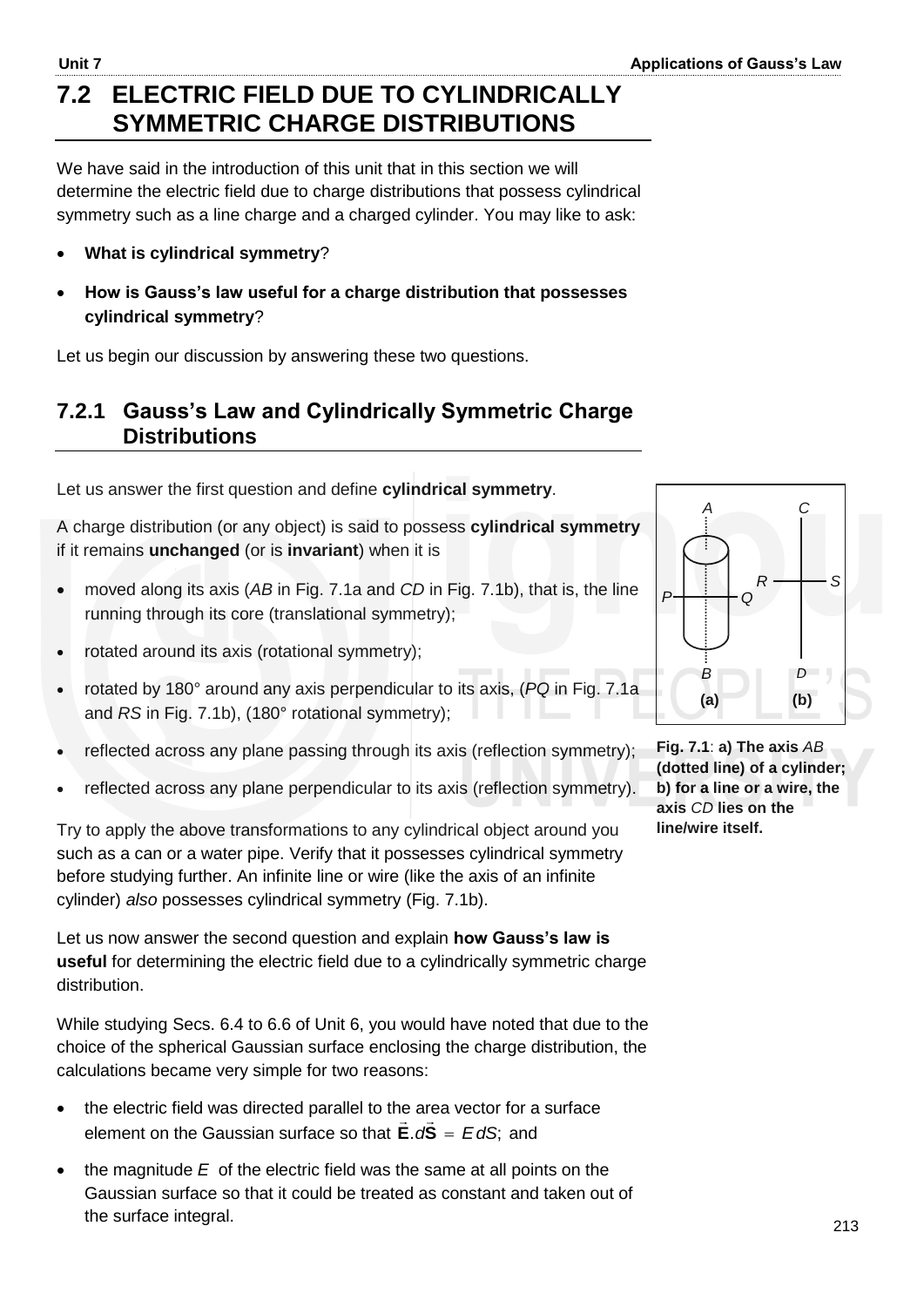# **7.2 ELECTRIC FIELD DUE TO CYLINDRICALLY SYMMETRIC CHARGE DISTRIBUTIONS**

We have said in the introduction of this unit that in this section we will determine the electric field due to charge distributions that possess cylindrical symmetry such as a line charge and a charged cylinder. You may like to ask:

- **What is cylindrical symmetry**?
- **How is Gauss's law useful for a charge distribution that possesses cylindrical symmetry**?

Let us begin our discussion by answering these two questions.

#### **7.2.1 Gauss's Law and Cylindrically Symmetric Charge Distributions**

Let us answer the first question and define **cylindrical symmetry**.

A charge distribution (or any object) is said to possess **cylindrical symmetry** if it remains **unchanged** (or is **invariant**) when it is

- moved along its axis (*AB* in Fig. 7.1a and *CD* in Fig. 7.1b), that is, the line running through its core (translational symmetry);
- rotated around its axis (rotational symmetry);
- rotated by 180° around any axis perpendicular to its axis, (*PQ* in Fig. 7.1a and *RS* in Fig. 7.1b), (180° rotational symmetry);
- reflected across any plane passing through its axis (reflection symmetry);
- reflected across any plane perpendicular to its axis (reflection symmetry).

*P Q R S* **(a) (b)**  *B A C D*

**Fig. 7.1**: **a) The axis** *AB* **(dotted line) of a cylinder; b) for a line or a wire, the axis** *CD* **lies on the line/wire itself.** 

Try to apply the above transformations to any cylindrical object around you such as a can or a water pipe. Verify that it possesses cylindrical symmetry before studying further. An infinite line or wire (like the axis of an infinite cylinder) *also* possesses cylindrical symmetry (Fig. 7.1b).

Let us now answer the second question and explain **how Gauss's law is useful** for determining the electric field due to a cylindrically symmetric charge distribution.

While studying Secs. 6.4 to 6.6 of Unit 6, you would have noted that due to the choice of the spherical Gaussian surface enclosing the charge distribution, the calculations became very simple for two reasons:

- $\bullet$  the electric field was directed parallel to the area vector for a surface element on the Gaussian surface so that  $\mathbf{E} \cdot d\mathbf{S} = E dS$ ; and
- the magnitude *E* of the electric field was the same at all points on the Gaussian surface so that it could be treated as constant and taken out of the surface integral.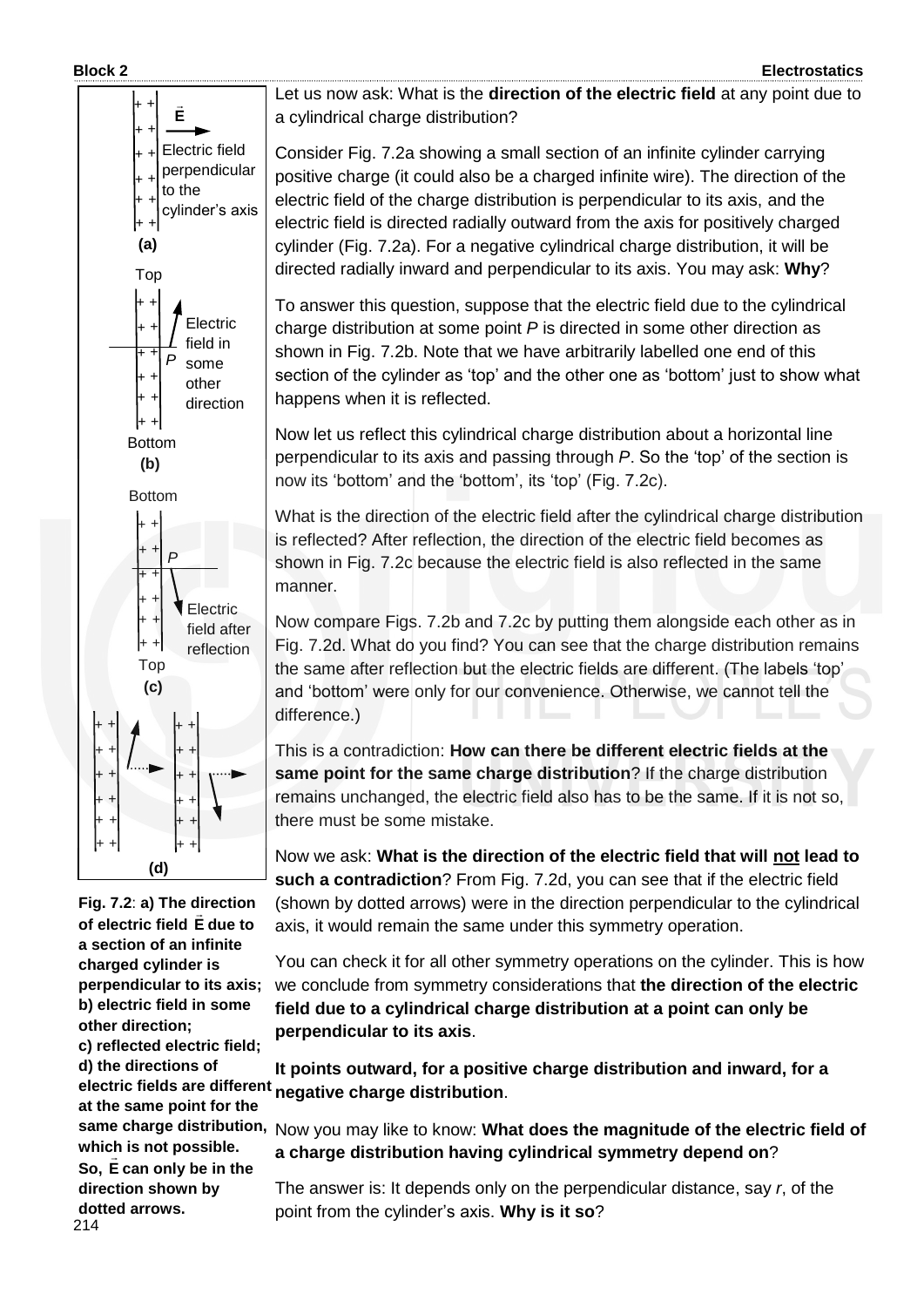

**Fig. 7.2**: **a) The direction of electric field E due to a section of an infinite charged cylinder is perpendicular to its axis; b) electric field in some other direction; c) reflected electric field; d) the directions of at the same point for the which is not possible. So, E can only be in the direction shown by dotted arrows.**

Let us now ask: What is the **direction of the electric field** at any point due to a cylindrical charge distribution?

Consider Fig. 7.2a showing a small section of an infinite cylinder carrying positive charge (it could also be a charged infinite wire). The direction of the electric field of the charge distribution is perpendicular to its axis, and the electric field is directed radially outward from the axis for positively charged cylinder (Fig. 7.2a). For a negative cylindrical charge distribution, it will be directed radially inward and perpendicular to its axis. You may ask: **Why**?

To answer this question, suppose that the electric field due to the cylindrical charge distribution at some point *P* is directed in some other direction as shown in Fig. 7.2b. Note that we have arbitrarily labelled one end of this section of the cylinder as "top" and the other one as "bottom" just to show what happens when it is reflected.

Now let us reflect this cylindrical charge distribution about a horizontal line perpendicular to its axis and passing through *P*. So the "top" of the section is now its "bottom" and the "bottom", its "top" (Fig. 7.2c).

What is the direction of the electric field after the cylindrical charge distribution is reflected? After reflection, the direction of the electric field becomes as shown in Fig. 7.2c because the electric field is also reflected in the same manner.

Now compare Figs. 7.2b and 7.2c by putting them alongside each other as in Fig. 7.2d. What do you find? You can see that the charge distribution remains the same after reflection but the electric fields are different. (The labels "top" and "bottom" were only for our convenience. Otherwise, we cannot tell the difference.)

This is a contradiction: **How can there be different electric fields at the same point for the same charge distribution**? If the charge distribution remains unchanged, the electric field also has to be the same. If it is not so, there must be some mistake.

Now we ask: **What is the direction of the electric field that will not lead to such a contradiction**? From Fig. 7.2d, you can see that if the electric field (shown by dotted arrows) were in the direction perpendicular to the cylindrical axis, it would remain the same under this symmetry operation.

You can check it for all other symmetry operations on the cylinder. This is how we conclude from symmetry considerations that **the direction of the electric field due to a cylindrical charge distribution at a point can only be perpendicular to its axis**.

**It points outward, for a positive charge distribution and inward, for a**  electric fields are different negative charge distribution.

same charge distribution, Now you may like to know: What does the magnitude of the electric field of **a charge distribution having cylindrical symmetry depend on**?

> The answer is: It depends only on the perpendicular distance, say *r*, of the point from the cylinder"s axis. **Why is it so**?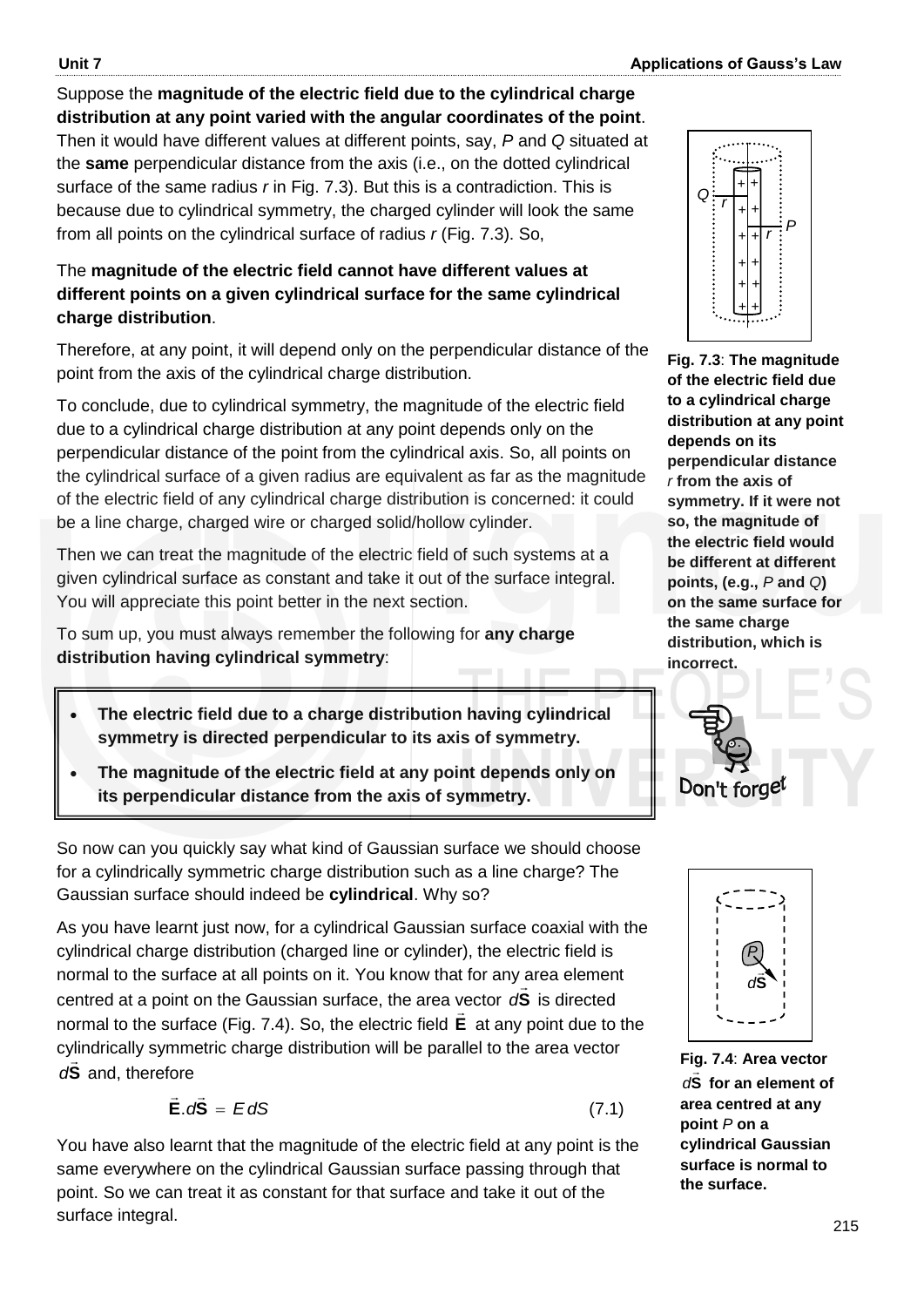#### Suppose the **magnitude of the electric field due to the cylindrical charge distribution at any point varied with the angular coordinates of the point**. Then it would have different values at different points, say, *P* and *Q* situated at

the **same** perpendicular distance from the axis (i.e., on the dotted cylindrical surface of the same radius *r* in Fig. 7.3). But this is a contradiction. This is because due to cylindrical symmetry, the charged cylinder will look the same from all points on the cylindrical surface of radius *r* (Fig. 7.3). So,

#### The **magnitude of the electric field cannot have different values at different points on a given cylindrical surface for the same cylindrical charge distribution**.

Therefore, at any point, it will depend only on the perpendicular distance of the point from the axis of the cylindrical charge distribution.

To conclude, due to cylindrical symmetry, the magnitude of the electric field due to a cylindrical charge distribution at any point depends only on the perpendicular distance of the point from the cylindrical axis. So, all points on the cylindrical surface of a given radius are equivalent as far as the magnitude of the electric field of any cylindrical charge distribution is concerned: it could be a line charge, charged wire or charged solid/hollow cylinder.

Then we can treat the magnitude of the electric field of such systems at a given cylindrical surface as constant and take it out of the surface integral. You will appreciate this point better in the next section.

To sum up, you must always remember the following for **any charge distribution having cylindrical symmetry**:

- **The electric field due to a charge distribution having cylindrical symmetry is directed perpendicular to its axis of symmetry.**
- **The magnitude of the electric field at any point depends only on its perpendicular distance from the axis of symmetry.**

So now can you quickly say what kind of Gaussian surface we should choose for a cylindrically symmetric charge distribution such as a line charge? The Gaussian surface should indeed be **cylindrical**. Why so?

As you have learnt just now, for a cylindrical Gaussian surface coaxial with the cylindrical charge distribution (charged line or cylinder), the electric field is normal to the surface at all points on it. You know that for any area element centred at a point on the Gaussian surface, the area vector **S** *d* is directed normal to the surface (Fig. 7.4). So, the electric field **E** at any point due to the cylindrically symmetric charge distribution will be parallel to the area vector **S** *d* and, therefore

$$
\vec{E} \cdot d\vec{S} = EdS \tag{7.1}
$$

You have also learnt that the magnitude of the electric field at any point is the same everywhere on the cylindrical Gaussian surface passing through that point. So we can treat it as constant for that surface and take it out of the surface integral.



**Fig. 7.3**: **The magnitude of the electric field due to a cylindrical charge distribution at any point depends on its perpendicular distance**  *r* **from the axis of symmetry. If it were not so, the magnitude of the electric field would be different at different points, (e.g.,** *P* **and** *Q***) on the same surface for the same charge distribution, which is incorrect.** 





**Fig. 7.4**: **Area vector**   $dS$  for an element of **area centred at any point** *P* **on a cylindrical Gaussian surface is normal to the surface.**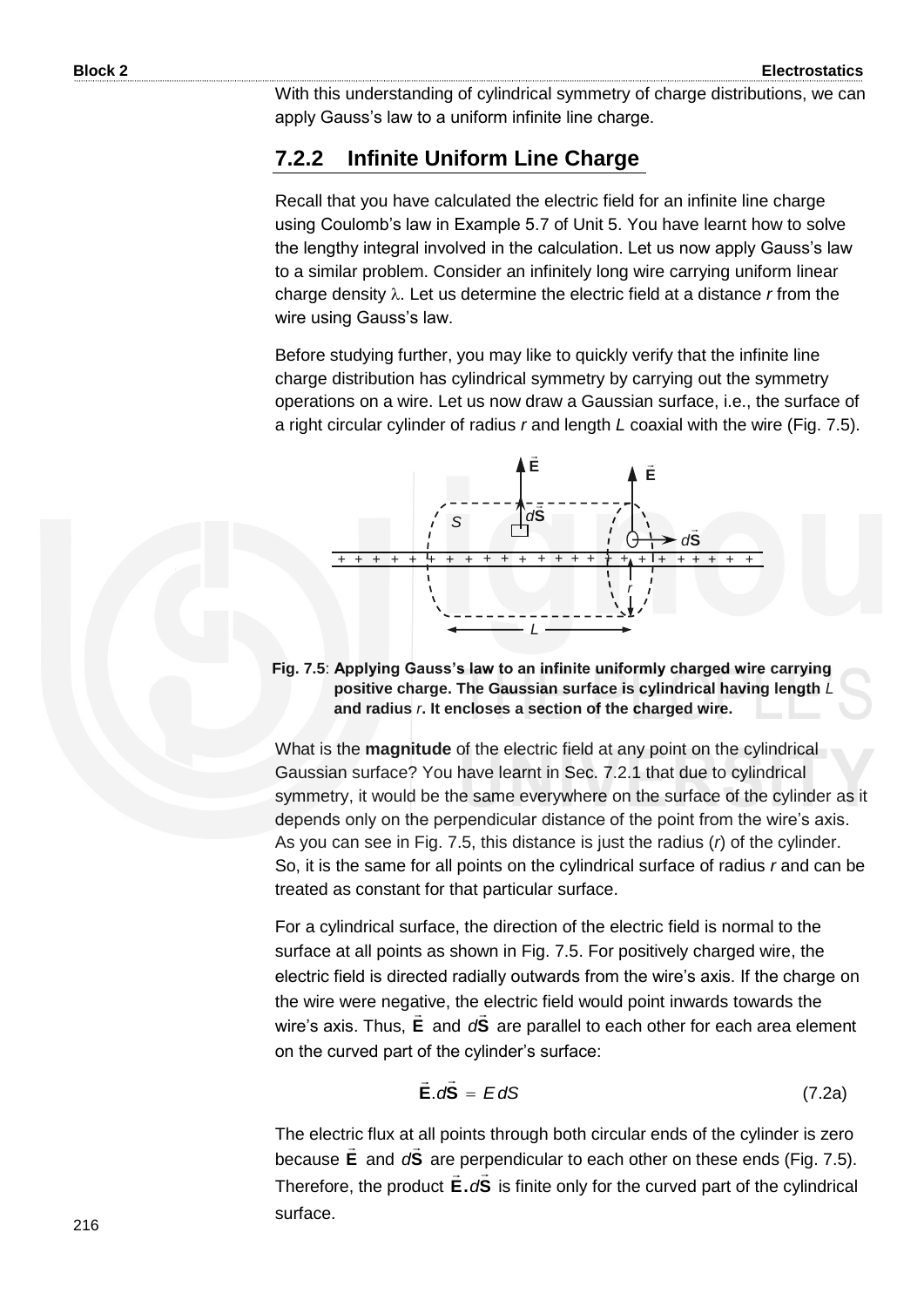With this understanding of cylindrical symmetry of charge distributions, we can apply Gauss's law to a uniform infinite line charge.

#### **7.2.2 Infinite Uniform Line Charge**

Recall that you have calculated the electric field for an infinite line charge using Coulomb's law in Example 5.7 of Unit 5. You have learnt how to solve the lengthy integral involved in the calculation. Let us now apply Gauss"s law to a similar problem. Consider an infinitely long wire carrying uniform linear charge density . Let us determine the electric field at a distance *r* from the wire using Gauss's law.

Before studying further, you may like to quickly verify that the infinite line charge distribution has cylindrical symmetry by carrying out the symmetry operations on a wire. Let us now draw a Gaussian surface, i.e., the surface of a right circular cylinder of radius *r* and length *L* coaxial with the wire (Fig. 7.5).



**Fig. 7.5**: **Applying Gauss's law to an infinite uniformly charged wire carrying positive charge. The Gaussian surface is cylindrical having length** *L* **and radius** *r***. It encloses a section of the charged wire.**

What is the **magnitude** of the electric field at any point on the cylindrical Gaussian surface? You have learnt in Sec. 7.2.1 that due to cylindrical symmetry, it would be the same everywhere on the surface of the cylinder as it depends only on the perpendicular distance of the point from the wire's axis. As you can see in Fig. 7.5, this distance is just the radius (*r*) of the cylinder. So, it is the same for all points on the cylindrical surface of radius *r* and can be treated as constant for that particular surface.

For a cylindrical surface, the direction of the electric field is normal to the surface at all points as shown in Fig. 7.5. For positively charged wire, the electric field is directed radially outwards from the wire"s axis. If the charge on the wire were negative, the electric field would point inwards towards the wire's axis. Thus, **E** and d**S** are parallel to each other for each area element on the curved part of the cylinder's surface:

$$
\vec{E} \cdot d\vec{S} = EdS \qquad (7.2a)
$$

The electric flux at all points through both circular ends of the cylinder is zero because **E** and d**S** are perpendicular to each other on these ends (Fig. 7.5). Therefore, the product **E.** dS is finite only for the curved part of the cylindrical surface.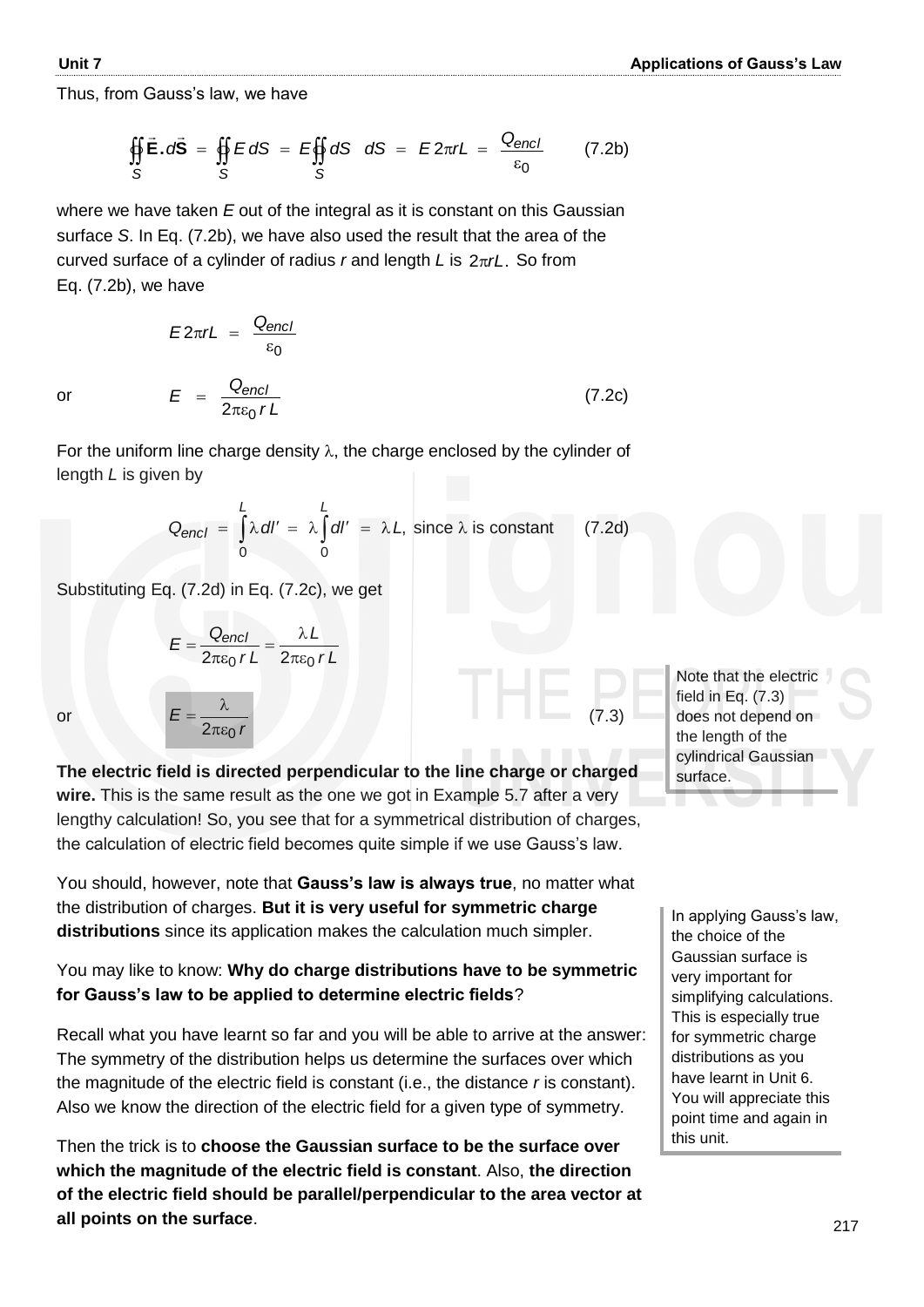Thus, from Gauss's law, we have

$$
\oint_S \vec{E} \cdot d\vec{S} = \oint_S E dS = E \oint_S dS \quad dS = E 2\pi rL = \frac{Q_{encl}}{\varepsilon_0} \qquad (7.2b)
$$

where we have taken *E* out of the integral as it is constant on this Gaussian surface *S*. In Eq. (7.2b), we have also used the result that the area of the curved surface of a cylinder of radius *r* and length *L* is 2πrL. So from Eq. (7.2b), we have

$$
E2\pi rL = \frac{Q_{encl}}{\varepsilon_0}
$$
  

$$
E = \frac{Q_{encl}}{2\pi\varepsilon_0 rL}
$$
 (7.2c)

For the uniform line charge density  $\lambda$ , the charge enclosed by the cylinder of length *L* is given by

$$
Q_{encl} = \int_{0}^{L} \lambda \, dl' = \lambda \int_{0}^{L} dl' = \lambda L, \text{ since } \lambda \text{ is constant} \qquad (7.2d)
$$

Substituting Eq. (7.2d) in Eq. (7.2c), we get

$$
E = \frac{Q_{encl}}{2\pi\epsilon_0 rL} = \frac{\lambda L}{2\pi\epsilon_0 rL}
$$

*r*

λ

or

or

*E*  $2\pi\epsilon_0$  $=\frac{R}{2}$  (7.3)

**The electric field is directed perpendicular to the line charge or charged wire.** This is the same result as the one we got in Example 5.7 after a very lengthy calculation! So, you see that for a symmetrical distribution of charges, the calculation of electric field becomes quite simple if we use Gauss's law.

You should, however, note that **Gauss's law is always true**, no matter what the distribution of charges. **But it is very useful for symmetric charge distributions** since its application makes the calculation much simpler.

#### You may like to know: **Why do charge distributions have to be symmetric for Gauss's law to be applied to determine electric fields**?

Recall what you have learnt so far and you will be able to arrive at the answer: The symmetry of the distribution helps us determine the surfaces over which the magnitude of the electric field is constant (i.e., the distance *r* is constant). Also we know the direction of the electric field for a given type of symmetry.

Then the trick is to **choose the Gaussian surface to be the surface over which the magnitude of the electric field is constant**. Also, **the direction of the electric field should be parallel/perpendicular to the area vector at all points on the surface**.

Note that the electric field in Eq. (7.3) does not depend on the length of the cylindrical Gaussian surface.

In applying Gauss's law, the choice of the Gaussian surface is very important for simplifying calculations. This is especially true for symmetric charge distributions as you have learnt in Unit 6. You will appreciate this point time and again in this unit.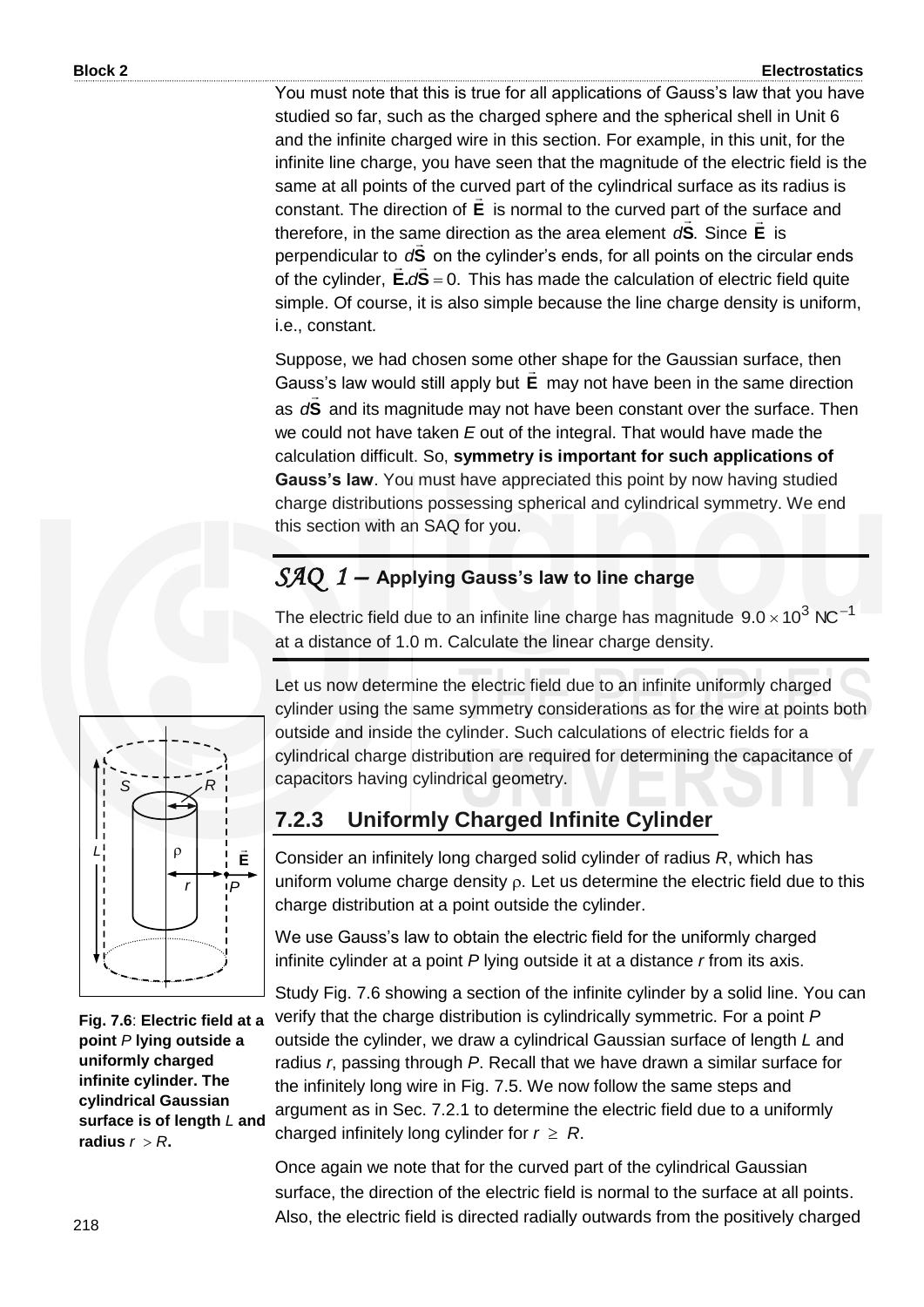You must note that this is true for all applications of Gauss's law that you have studied so far, such as the charged sphere and the spherical shell in Unit 6 and the infinite charged wire in this section. For example, in this unit, for the infinite line charge, you have seen that the magnitude of the electric field is the same at all points of the curved part of the cylindrical surface as its radius is constant. The direction of **E** is normal to the curved part of the surface and therefore, in the same direction as the area element  $dS$ . Since **E** is perpendicular to  $dS$  on the cylinder's ends, for all points on the circular ends<br>  $\vec{r}$ of the cylinder, **E.dS** = 0. This has made the calculation of electric field quite simple. Of course, it is also simple because the line charge density is uniform, i.e., constant.

Suppose, we had chosen some other shape for the Gaussian surface, then Gauss's law would still apply but **E** may not have been in the same direction as **S**  $\frac{1}{2}$ *d* and its magnitude may not have been constant over the surface. Then we could not have taken *E* out of the integral. That would have made the calculation difficult. So, **symmetry is important for such applications of Gauss's law**. You must have appreciated this point by now having studied charge distributions possessing spherical and cylindrical symmetry. We end this section with an SAQ for you.

### *SAQ 1 –* **Applying Gauss's law to line charge**

The electric field due to an infinite line charge has magnitude  $9.0 \times 10^3$  NC<sup>-1</sup> at a distance of 1.0 m. Calculate the linear charge density.

Let us now determine the electric field due to an infinite uniformly charged cylinder using the same symmetry considerations as for the wire at points both outside and inside the cylinder. Such calculations of electric fields for a cylindrical charge distribution are required for determining the capacitance of capacitors having cylindrical geometry.

#### **7.2.3 Uniformly Charged Infinite Cylinder**

Consider an infinitely long charged solid cylinder of radius *R*, which has uniform volume charge density  $\rho$ . Let us determine the electric field due to this charge distribution at a point outside the cylinder.

We use Gauss's law to obtain the electric field for the uniformly charged infinite cylinder at a point *P* lying outside it at a distance *r* from its axis.

Study Fig. 7.6 showing a section of the infinite cylinder by a solid line. You can verify that the charge distribution is cylindrically symmetric. For a point *P*  outside the cylinder, we draw a cylindrical Gaussian surface of length *L* and radius *r*, passing through *P*. Recall that we have drawn a similar surface for the infinitely long wire in Fig. 7.5. We now follow the same steps and argument as in Sec. 7.2.1 to determine the electric field due to a uniformly charged infinitely long cylinder for  $r \geq R$ .

Once again we note that for the curved part of the cylindrical Gaussian surface, the direction of the electric field is normal to the surface at all points. Also, the electric field is directed radially outwards from the positively charged



**Fig. 7.6**: **Electric field at a point** *P* **lying outside a uniformly charged infinite cylinder. The cylindrical Gaussian surface is of length** *L* **and**  *radius*  $r > R$ .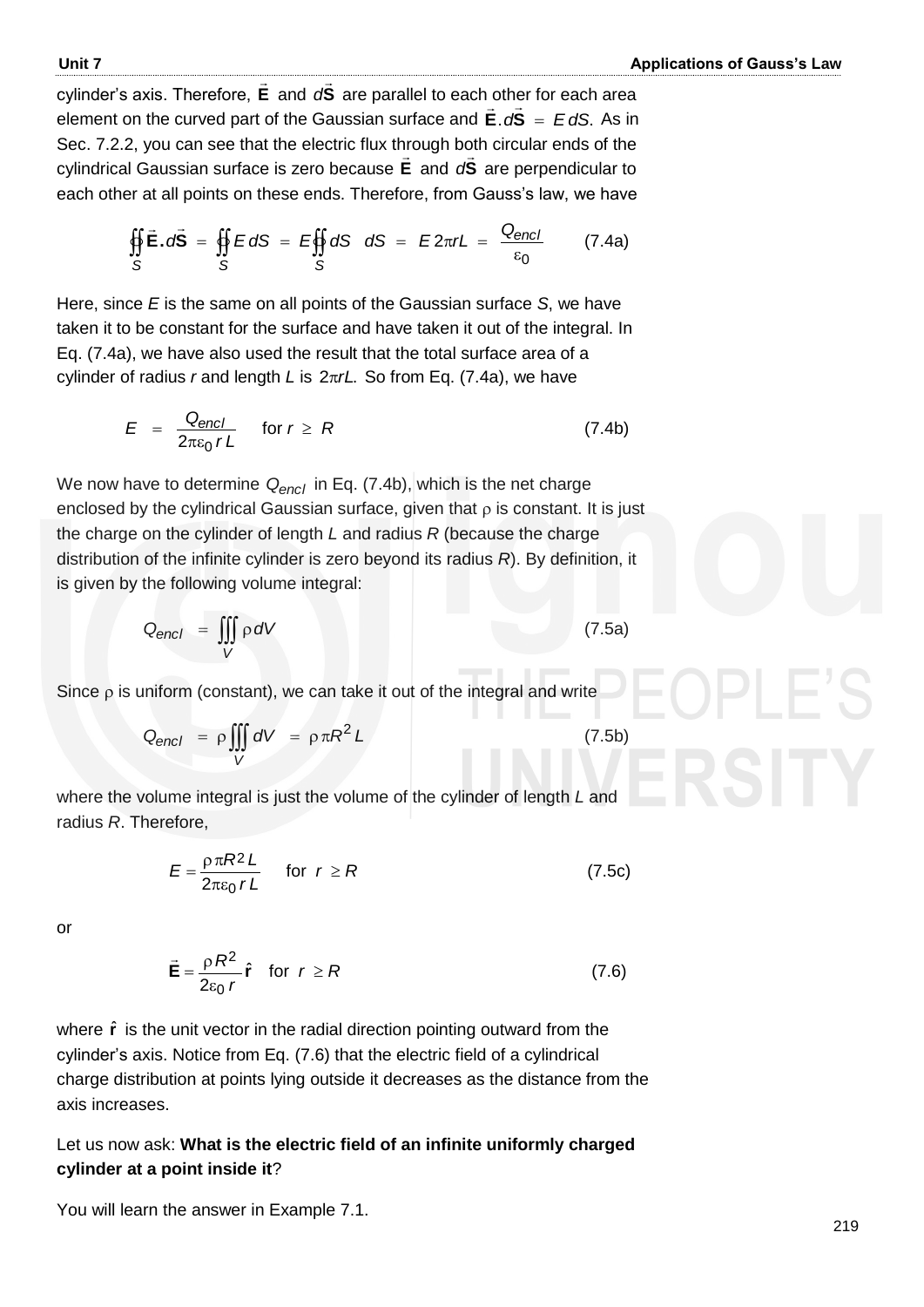cylinder"s axis. Therefore, **E**  $\ddot{\ }$ and **S**  $\frac{1}{2}$ *d* are parallel to each other for each area element on the curved part of the Gaussian surface and E.  $dS = E dS$ .  $\frac{1}{2}$   $\frac{1}{2}$  As in Sec. 7.2.2, you can see that the electric flux through both circular ends of the cylindrical Gaussian surface is zero because **E** and **S** *d* are perpendicular to each other at all points on these ends. Therefore, from Gauss's law, we have

$$
\oint_S \vec{E} \cdot d\vec{S} = \oint_S E dS = E \oint_S dS \quad dS = E 2\pi rL = \frac{Q_{encl}}{\varepsilon_0} \qquad (7.4a)
$$

Here, since *E* is the same on all points of the Gaussian surface *S*, we have taken it to be constant for the surface and have taken it out of the integral. In Eq. (7.4a), we have also used the result that the total surface area of a cylinder of radius *r* and length *L* is 2πrL. So from Eq. (7.4a), we have

$$
E = \frac{Q_{encl}}{2\pi\epsilon_0 rL} \quad \text{for } r \ge R \tag{7.4b}
$$

We now have to determine *Qencl* in Eq. (7.4b), which is the net charge enclosed by the cylindrical Gaussian surface, given that  $\rho$  is constant. It is just the charge on the cylinder of length *L* and radius *R* (because the charge distribution of the infinite cylinder is zero beyond its radius *R*). By definition, it is given by the following volume integral:

$$
Q_{encl} = \iiint_{V} \rho \, dV \tag{7.5a}
$$

Since  $\rho$  is uniform (constant), we can take it out of the integral and write

$$
Q_{encl} = \rho \iiint\limits_V dV = \rho \pi R^2 L \tag{7.5b}
$$

where the volume integral is just the volume of the cylinder of length *L* and radius *R*. Therefore,

$$
E = \frac{\rho \pi R^2 L}{2\pi \varepsilon_0 r L} \quad \text{for } r \ge R \tag{7.5c}
$$

or

$$
\vec{\mathbf{E}} = \frac{\rho R^2}{2\epsilon_0 r} \hat{\mathbf{r}} \quad \text{for} \quad r \ge R \tag{7.6}
$$

where  $\hat{\mathbf{r}}$  is the unit vector in the radial direction pointing outward from the cylinder"s axis. Notice from Eq. (7.6) that the electric field of a cylindrical charge distribution at points lying outside it decreases as the distance from the axis increases.

#### Let us now ask: **What is the electric field of an infinite uniformly charged cylinder at a point inside it**?

You will learn the answer in Example 7.1.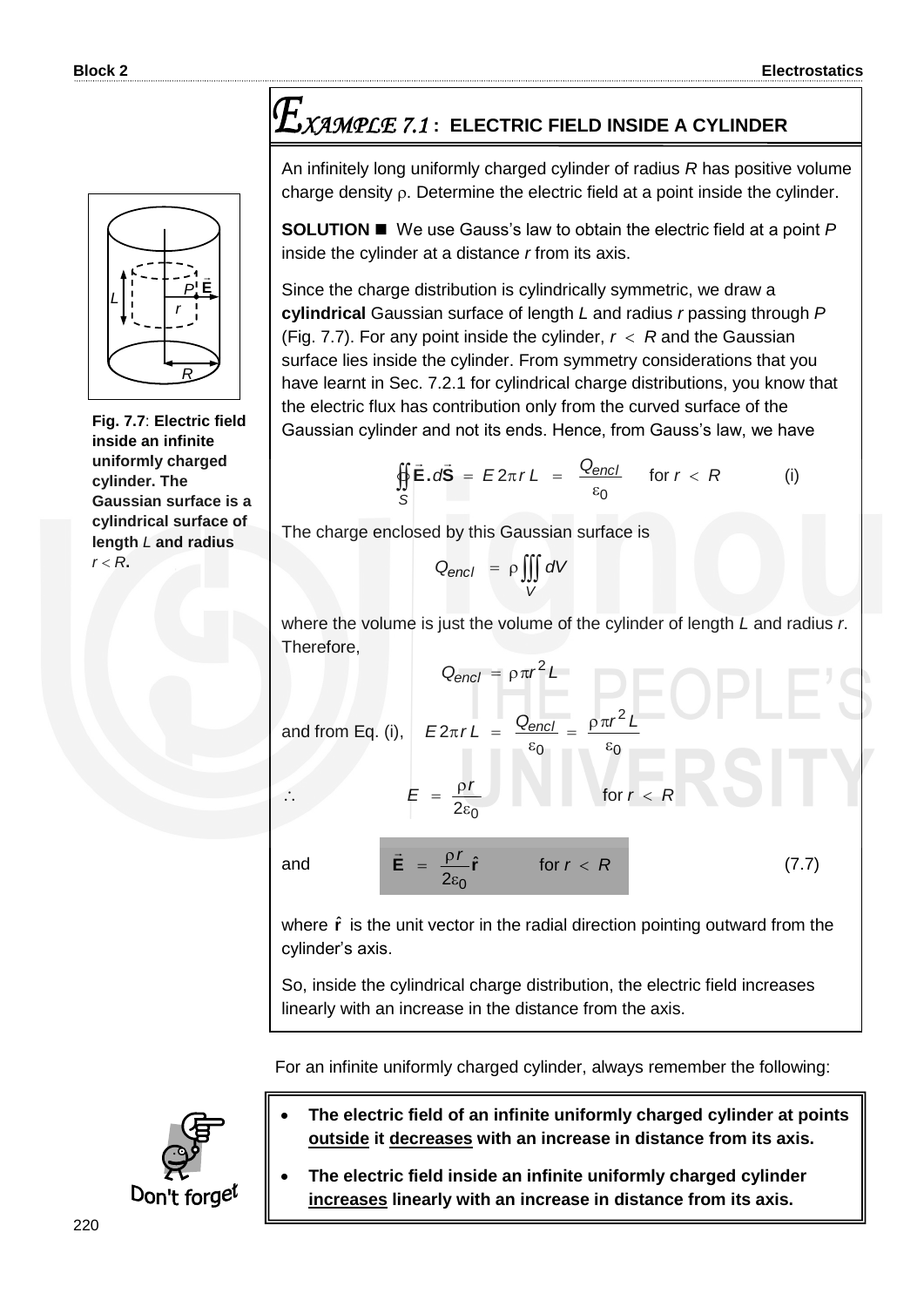# *R P r* **E**  $\rightarrow$ *L*

**Fig. 7.7**: **Electric field inside an infinite uniformly charged cylinder. The Gaussian surface is a cylindrical surface of length** *L* **and radius**   $r < R$ .

# *XAMPLE 7.1* **: ELECTRIC FIELD INSIDE A CYLINDER**

An infinitely long uniformly charged cylinder of radius *R* has positive volume charge density  $\rho$ . Determine the electric field at a point inside the cylinder.

**SOLUTION ■** We use Gauss's law to obtain the electric field at a point *P* inside the cylinder at a distance *r* from its axis.

Since the charge distribution is cylindrically symmetric, we draw a **cylindrical** Gaussian surface of length *L* and radius *r* passing through *P* (Fig. 7.7). For any point inside the cylinder,  $r < R$  and the Gaussian surface lies inside the cylinder. From symmetry considerations that you have learnt in Sec. 7.2.1 for cylindrical charge distributions, you know that the electric flux has contribution only from the curved surface of the Gaussian cylinder and not its ends. Hence, from Gauss"s law, we have

$$
\oint_{S} \vec{E} \cdot d\vec{S} = E2\pi rL = \frac{Q_{encl}}{\varepsilon_0} \quad \text{for } r < R \tag{i}
$$

The charge enclosed by this Gaussian surface is

 $2\varepsilon_0$  $\mathbf{s}$ ρ  $=$ 

 $\ddot{\mathbf{E}} = \frac{\mathbf{p} \cdot \mathbf{r}}{2} \hat{\mathbf{r}}$  $2\varepsilon_0$ *r*

=  $\rightarrow$ 

*r*

$$
Q_{encl} = \rho \iiint_V dV
$$

where the volume is just the volume of the cylinder of length *L* and radius *r*. Therefore,

0

for  $r < R$ 

 $\epsilon$  $= \frac{\rho \pi}{2}$ 

2

and from Eq. (i), 2  $E2\pi rL = \frac{Q_{encl}}{r} = \frac{\rho \pi r^2L}{r^2}$ 

 $Q_{encl} = \rho \pi r^2 L$ 

 $\mathbb{R}^{\mathbb{Z}}$ 

and 
$$
\vec{E} = \frac{\rho r}{2} \hat{r} \qquad \text{for } r < R \tag{7.7}
$$

0

 $\epsilon$ 

where  $\hat{r}$  is the unit vector in the radial direction pointing outward from the cylinder"s axis.

So, inside the cylindrical charge distribution, the electric field increases linearly with an increase in the distance from the axis.

For an infinite uniformly charged cylinder, always remember the following:  $\overline{a}$ 



- **The electric field of an infinite uniformly charged cylinder at points outside it decreases with an increase in distance from its axis.**
- **The electric field inside an infinite uniformly charged cylinder increases linearly with an increase in distance from its axis.**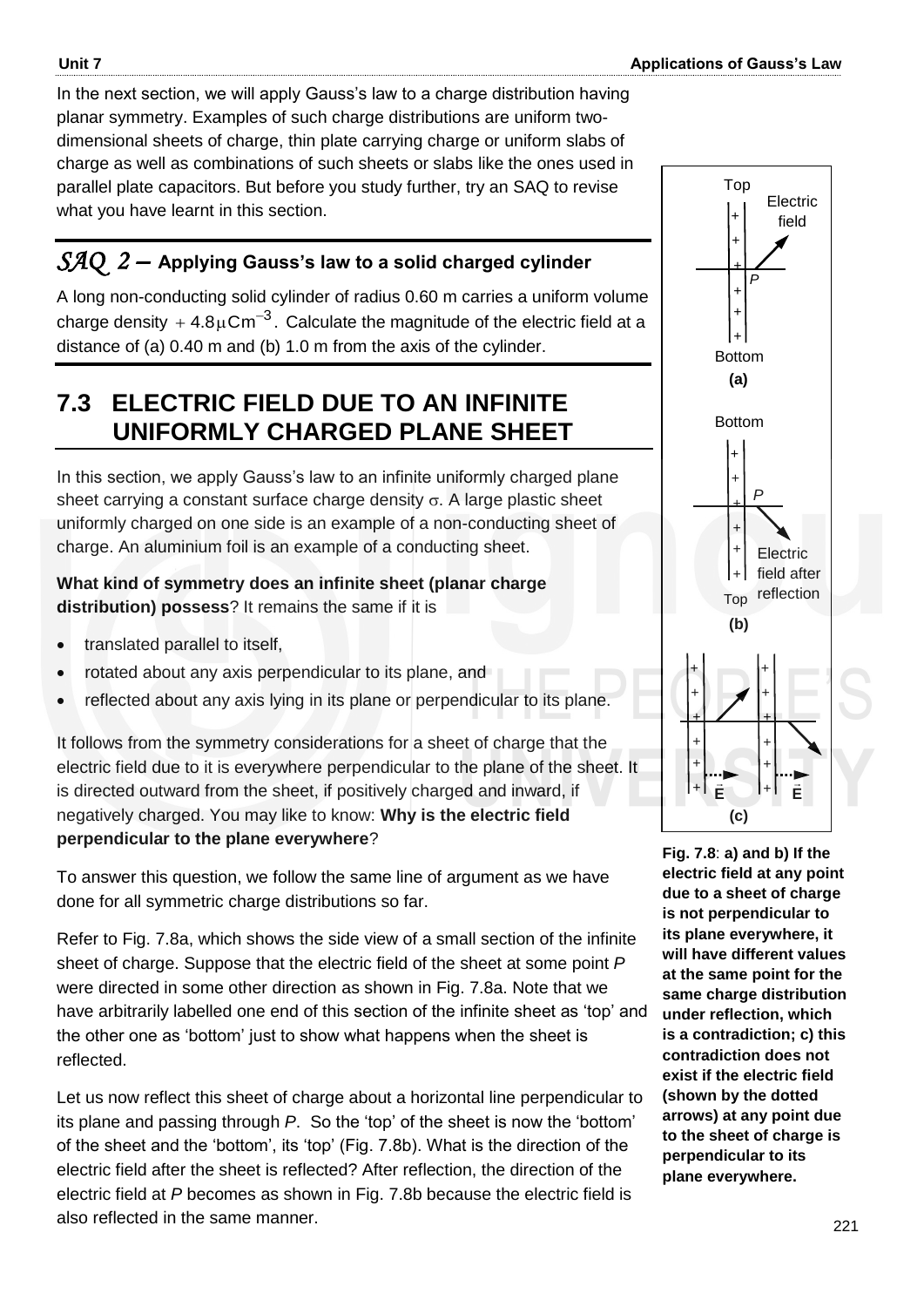In the next section, we will apply Gauss's law to a charge distribution having planar symmetry. Examples of such charge distributions are uniform twodimensional sheets of charge, thin plate carrying charge or uniform slabs of charge as well as combinations of such sheets or slabs like the ones used in parallel plate capacitors. But before you study further, try an SAQ to revise what you have learnt in this section.

## *SAQ 2 –* **Applying Gauss's law to a solid charged cylinder**

A long non-conducting solid cylinder of radius 0.60 m carries a uniform volume charge density  $+$  4.8 $\mu$ Cm $^{-3}$ . Calculate the magnitude of the electric field at a distance of (a) 0.40 m and (b) 1.0 m from the axis of the cylinder.

# **7.3 ELECTRIC FIELD DUE TO AN INFINITE UNIFORMLY CHARGED PLANE SHEET**

In this section, we apply Gauss's law to an infinite uniformly charged plane sheet carrying a constant surface charge density  $\sigma$ . A large plastic sheet uniformly charged on one side is an example of a non-conducting sheet of charge. An aluminium foil is an example of a conducting sheet.

#### **What kind of symmetry does an infinite sheet (planar charge distribution) possess**? It remains the same if it is

- translated parallel to itself,
- rotated about any axis perpendicular to its plane, and
- reflected about any axis lying in its plane or perpendicular to its plane.

It follows from the symmetry considerations for a sheet of charge that the electric field due to it is everywhere perpendicular to the plane of the sheet. It is directed outward from the sheet, if positively charged and inward, if negatively charged. You may like to know: **Why is the electric field perpendicular to the plane everywhere**?

To answer this question, we follow the same line of argument as we have done for all symmetric charge distributions so far.

Refer to Fig. 7.8a, which shows the side view of a small section of the infinite sheet of charge. Suppose that the electric field of the sheet at some point *P* were directed in some other direction as shown in Fig. 7.8a. Note that we have arbitrarily labelled one end of this section of the infinite sheet as "top" and the other one as "bottom" just to show what happens when the sheet is reflected.

Let us now reflect this sheet of charge about a horizontal line perpendicular to its plane and passing through *P*. So the 'top' of the sheet is now the 'bottom' of the sheet and the "bottom", its "top" (Fig. 7.8b). What is the direction of the electric field after the sheet is reflected? After reflection, the direction of the electric field at *P* becomes as shown in Fig. 7.8b because the electric field is also reflected in the same manner.



**Fig. 7.8**: **a) and b) If the electric field at any point due to a sheet of charge is not perpendicular to its plane everywhere, it will have different values at the same point for the same charge distribution under reflection, which is a contradiction; c) this contradiction does not exist if the electric field (shown by the dotted arrows) at any point due to the sheet of charge is perpendicular to its plane everywhere.**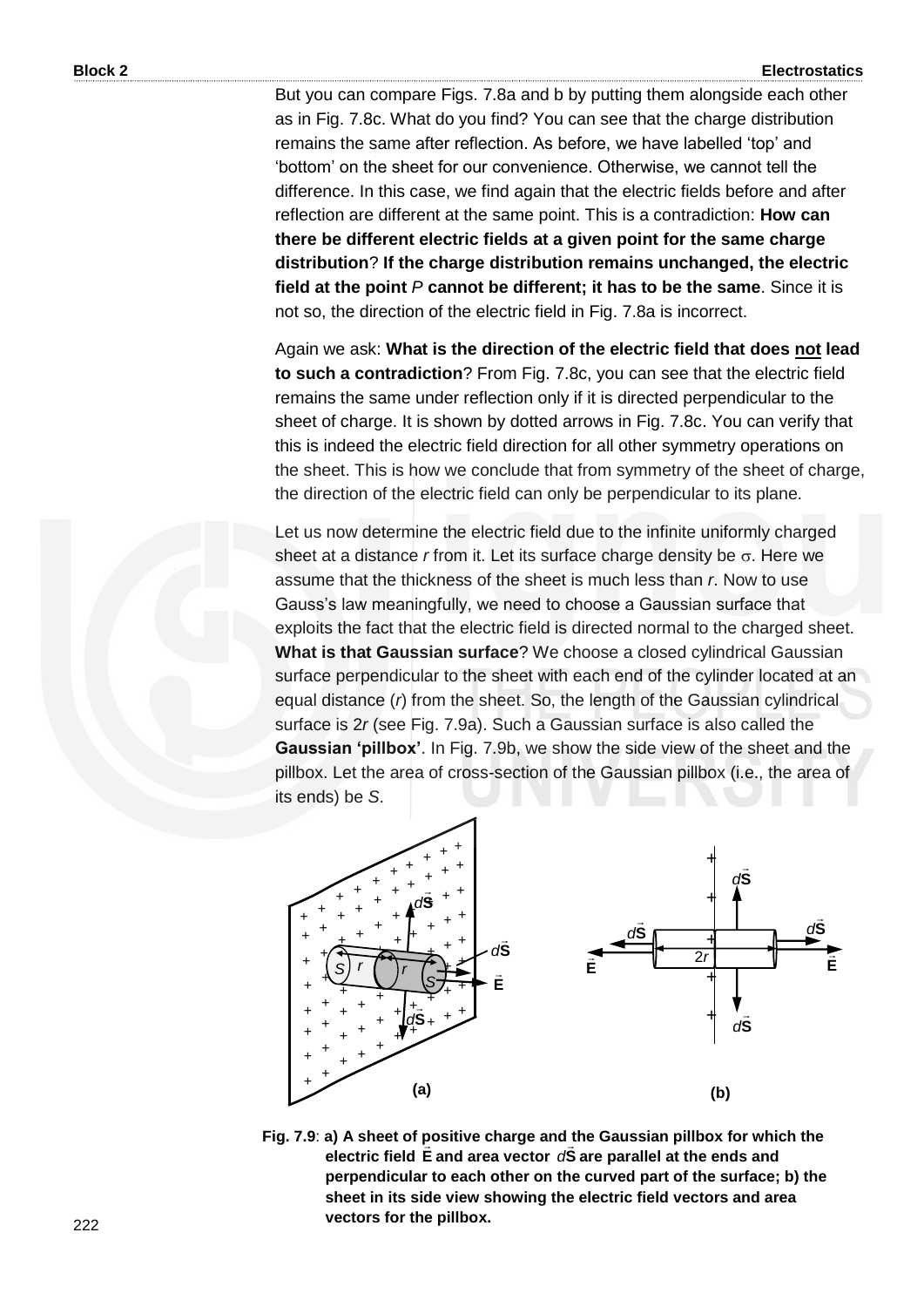But you can compare Figs. 7.8a and b by putting them alongside each other as in Fig. 7.8c. What do you find? You can see that the charge distribution remains the same after reflection. As before, we have labelled "top" and "bottom" on the sheet for our convenience. Otherwise, we cannot tell the difference. In this case, we find again that the electric fields before and after reflection are different at the same point. This is a contradiction: **How can there be different electric fields at a given point for the same charge distribution**? **If the charge distribution remains unchanged, the electric field at the point** *P* **cannot be different; it has to be the same**. Since it is not so, the direction of the electric field in Fig. 7.8a is incorrect.

Again we ask: **What is the direction of the electric field that does not lead to such a contradiction**? From Fig. 7.8c, you can see that the electric field remains the same under reflection only if it is directed perpendicular to the sheet of charge. It is shown by dotted arrows in Fig. 7.8c. You can verify that this is indeed the electric field direction for all other symmetry operations on the sheet. This is how we conclude that from symmetry of the sheet of charge, the direction of the electric field can only be perpendicular to its plane.

Let us now determine the electric field due to the infinite uniformly charged sheet at a distance  $r$  from it. Let its surface charge density be  $\sigma$ . Here we assume that the thickness of the sheet is much less than *r*. Now to use Gauss"s law meaningfully, we need to choose a Gaussian surface that exploits the fact that the electric field is directed normal to the charged sheet. **What is that Gaussian surface**? We choose a closed cylindrical Gaussian surface perpendicular to the sheet with each end of the cylinder located at an equal distance (*r*) from the sheet. So, the length of the Gaussian cylindrical surface is 2*r* (see Fig. 7.9a). Such a Gaussian surface is also called the **Gaussian 'pillbox'**. In Fig. 7.9b, we show the side view of the sheet and the pillbox. Let the area of cross-section of the Gaussian pillbox (i.e., the area of its ends) be *S*.



**Fig. 7.9**: **a) A sheet of positive charge and the Gaussian pillbox for which the electric field E and area vector S** *d* **are parallel at the ends and perpendicular to each other on the curved part of the surface; b) the sheet in its side view showing the electric field vectors and area vectors for the pillbox.**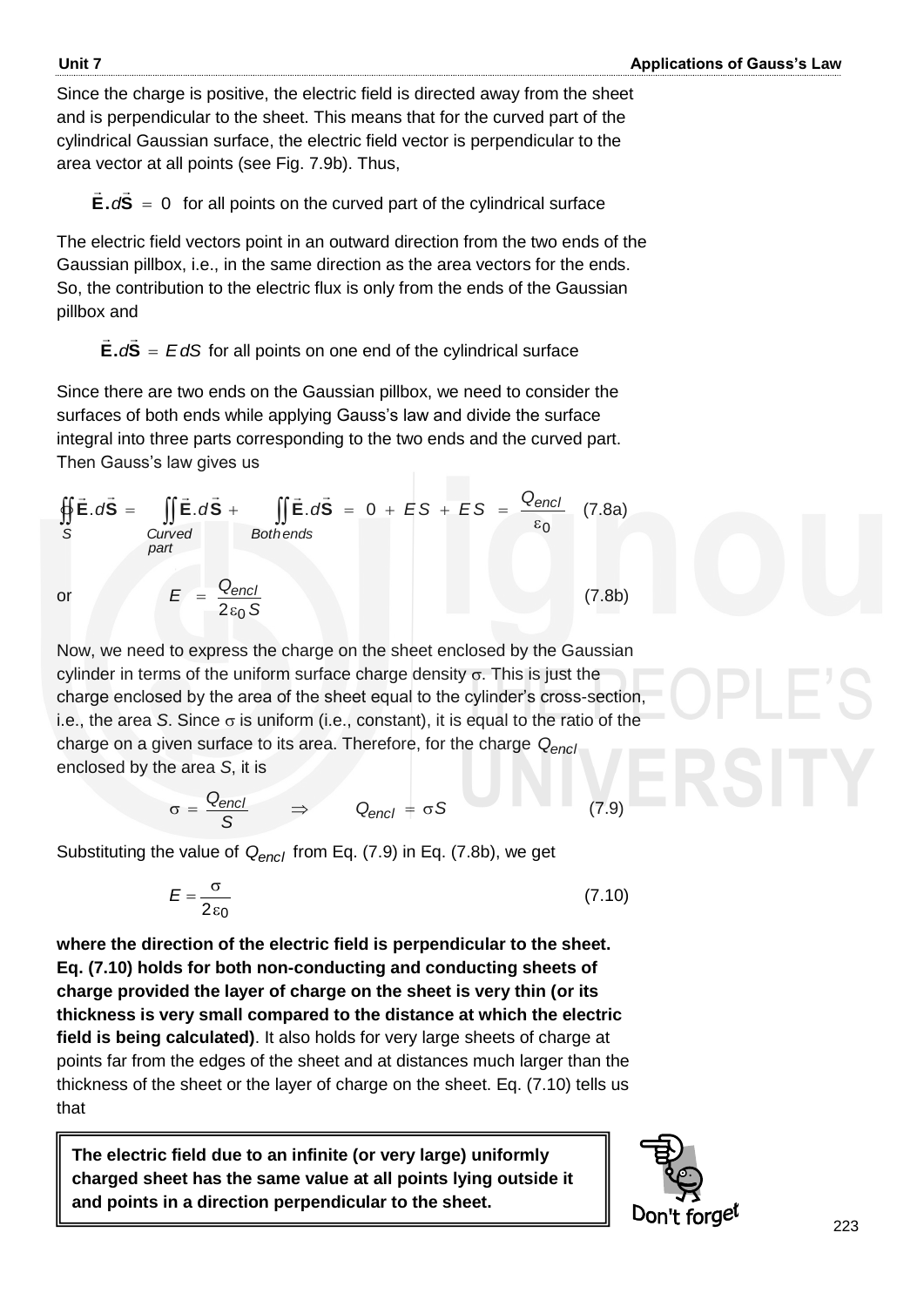Since the charge is positive, the electric field is directed away from the sheet and is perpendicular to the sheet. This means that for the curved part of the cylindrical Gaussian surface, the electric field vector is perpendicular to the area vector at all points (see Fig. 7.9b). Thus,

**E.**  $dS = 0$  $\frac{1}{2}$   $\frac{1}{2}$  $dS = 0$  for all points on the curved part of the cylindrical surface

The electric field vectors point in an outward direction from the two ends of the Gaussian pillbox, i.e., in the same direction as the area vectors for the ends. So, the contribution to the electric flux is only from the ends of the Gaussian pillbox and

 $E.dS = EdS$  $\overline{z}$   $\overline{z}$ for all points on one end of the cylindrical surface

Since there are two ends on the Gaussian pillbox, we need to consider the surfaces of both ends while applying Gauss's law and divide the surface integral into three parts corresponding to the two ends and the curved part. Then Gauss's law gives us

$$
\oint_{S} \vec{E} \cdot d\vec{S} = \iint_{\text{Curved}} \vec{E} \cdot d\vec{S} + \iint_{\text{Both ends}} \vec{E} \cdot d\vec{S} = 0 + ES + ES = \frac{Q_{\text{encl}}}{\varepsilon_{0}} \quad (7.8a)
$$
\n
$$
E = \frac{Q_{\text{encl}}}{2\varepsilon_{0} S} \quad (7.8b)
$$

Now, we need to express the charge on the sheet enclosed by the Gaussian cylinder in terms of the uniform surface charge density  $\sigma$ . This is just the charge enclosed by the area of the sheet equal to the cylinder"s cross-section, i.e., the area *S*. Since  $\sigma$  is uniform (i.e., constant), it is equal to the ratio of the charge on a given surface to its area. Therefore, for the charge *Qencl* enclosed by the area *S*, it is

$$
\sigma = \frac{Q_{encl}}{S} \qquad \Rightarrow \qquad Q_{encl} = \sigma S \tag{7.9}
$$

Substituting the value of *Qencl* from Eq. (7.9) in Eq. (7.8b), we get

$$
E = \frac{\sigma}{2\epsilon_0} \tag{7.10}
$$

**where the direction of the electric field is perpendicular to the sheet. Eq. (7.10) holds for both non-conducting and conducting sheets of charge provided the layer of charge on the sheet is very thin (or its thickness is very small compared to the distance at which the electric field is being calculated)**. It also holds for very large sheets of charge at points far from the edges of the sheet and at distances much larger than the thickness of the sheet or the layer of charge on the sheet. Eq. (7.10) tells us that

**The electric field due to an infinite (or very large) uniformly charged sheet has the same value at all points lying outside it and points in a direction perpendicular to the sheet.**



223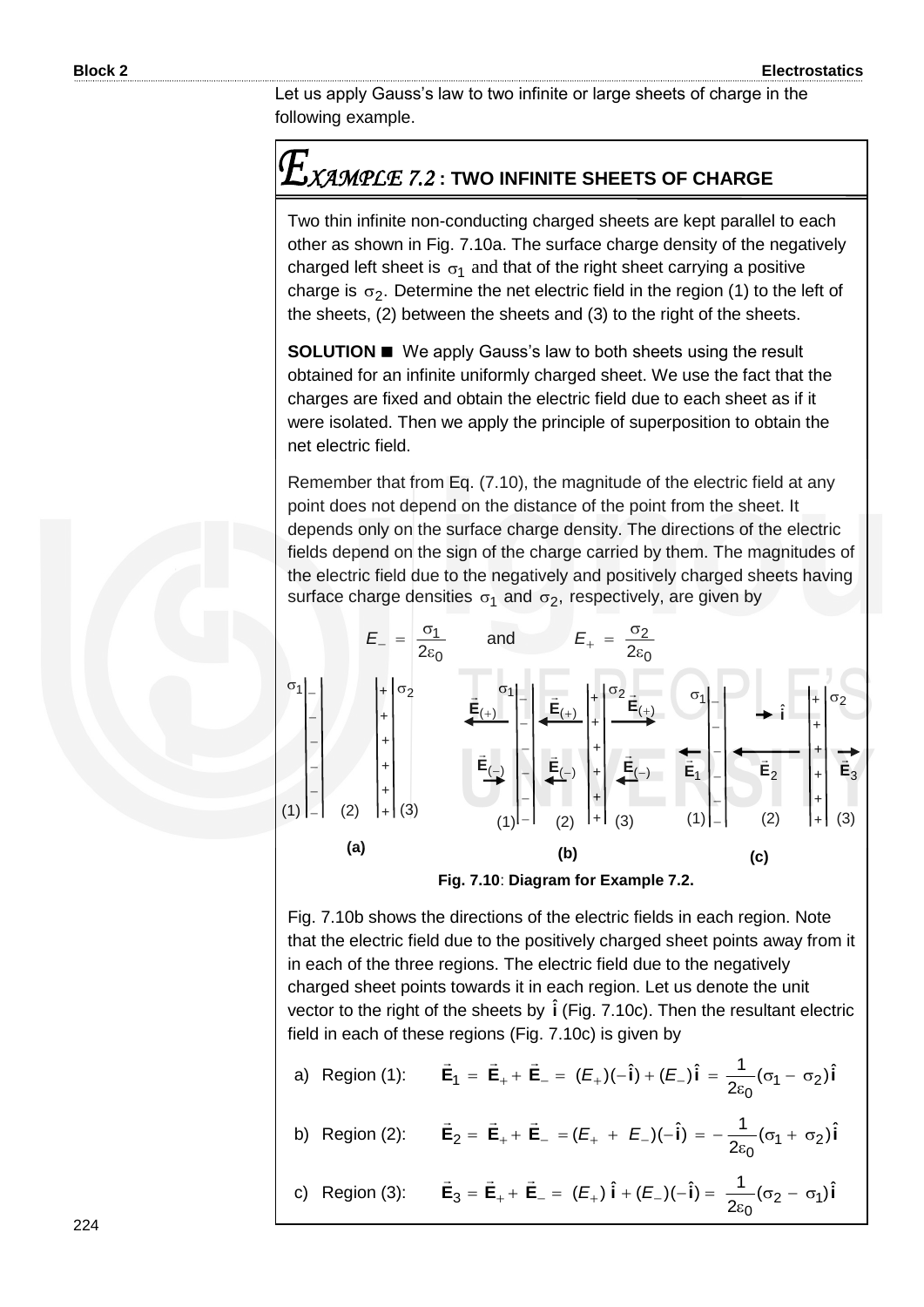Let us apply Gauss's law to two infinite or large sheets of charge in the following example.

# *XAMPLE 7.2* **: TWO INFINITE SHEETS OF CHARGE**

Two thin infinite non-conducting charged sheets are kept parallel to each other as shown in Fig. 7.10a. The surface charge density of the negatively charged left sheet is  $\sigma_1$  and that of the right sheet carrying a positive charge is  $\sigma_2$ . Determine the net electric field in the region (1) to the left of the sheets, (2) between the sheets and (3) to the right of the sheets.

**SOLUTION**  We apply Gauss's law to both sheets using the result obtained for an infinite uniformly charged sheet. We use the fact that the charges are fixed and obtain the electric field due to each sheet as if it were isolated. Then we apply the principle of superposition to obtain the net electric field.

Remember that from Eq. (7.10), the magnitude of the electric field at any point does not depend on the distance of the point from the sheet. It depends only on the surface charge density. The directions of the electric fields depend on the sign of the charge carried by them. The magnitudes of the electric field due to the negatively and positively charged sheets having surface charge densities  $\sigma_1$  and  $\sigma_2$ , respectively, are given by





Fig. 7.10b shows the directions of the electric fields in each region. Note that the electric field due to the positively charged sheet points away from it in each of the three regions. The electric field due to the negatively charged sheet points towards it in each region. Let us denote the unit vector to the right of the sheets by  $\hat{\textbf{i}}$  (Fig. 7.10c). Then the resultant electric field in each of these regions (Fig. 7.10c) is given by

a) Region (1): 
$$
\vec{E}_1 = \vec{E}_+ + \vec{E}_- = (E_+)(-\hat{i}) + (E_-)\hat{i} = \frac{1}{2\epsilon_0}(\sigma_1 - \sigma_2)\hat{i}
$$
  
b) Region (2):  $\vec{E}_2 = \vec{E}_+ + \vec{E}_- = (E_+ + E_-)(-\hat{i}) = -\frac{1}{2\epsilon_0}(\sigma_1 + \sigma_2)\hat{i}$ 

c) Region (3): 
$$
\vec{E}_3 = \vec{E}_+ + \vec{E}_- = (E_+)\hat{i} + (E_-)(-\hat{i}) = \frac{1}{2\epsilon_0}(\sigma_2 - \sigma_1)\hat{i}
$$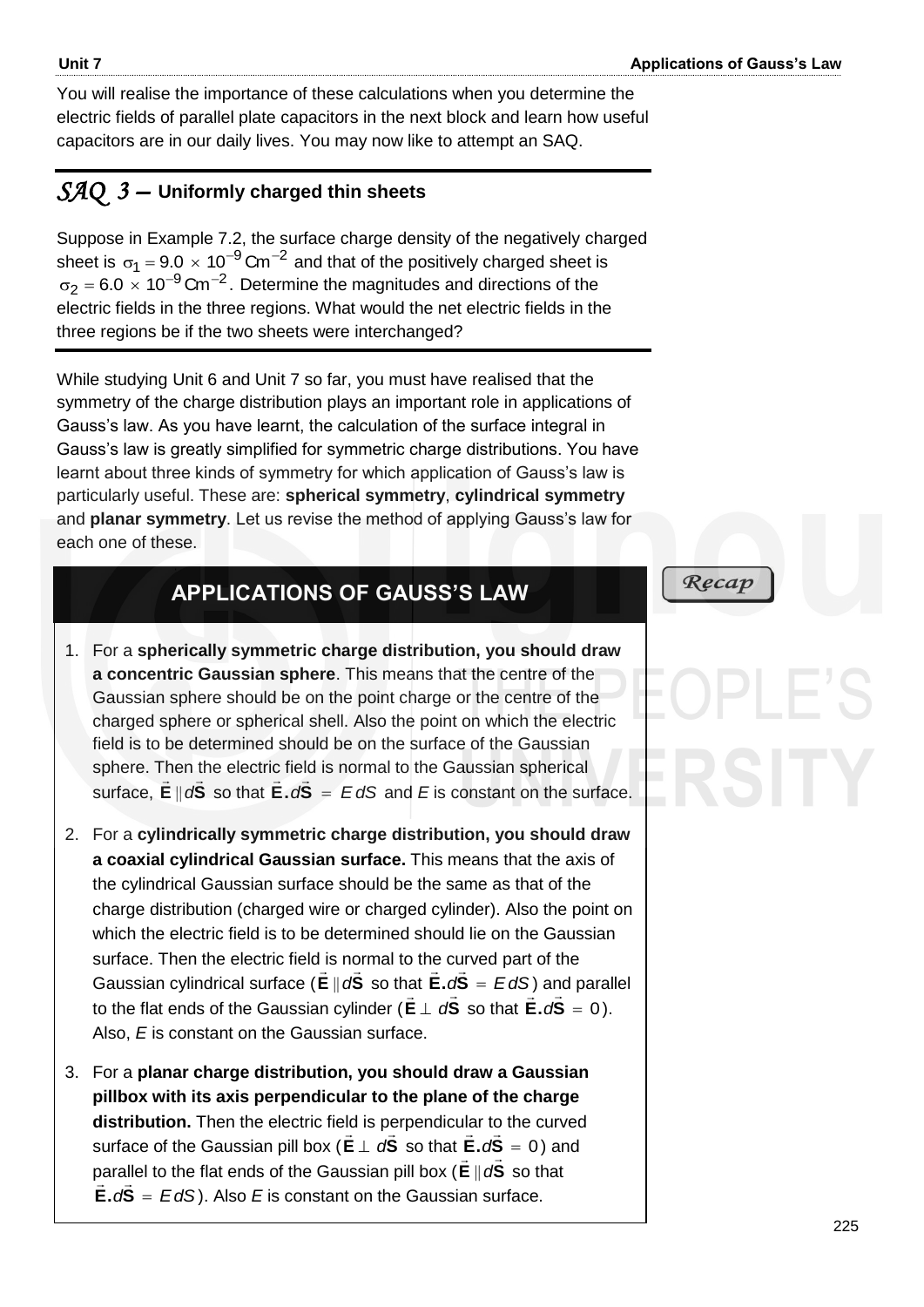You will realise the importance of these calculations when you determine the electric fields of parallel plate capacitors in the next block and learn how useful capacitors are in our daily lives. You may now like to attempt an SAQ.

### *SAQ 3 –* **Uniformly charged thin sheets**

Suppose in Example 7.2, the surface charge density of the negatively charged sheet is  $\sigma_1 = 9.0 \times 10^{-9}$  Cm<sup>-2</sup> and that of the positively charged sheet is  $\sigma_2$  = 6.0  $\times$  10<sup>-9</sup> Cm<sup>-2</sup>. Determine the magnitudes and directions of the electric fields in the three regions. What would the net electric fields in the three regions be if the two sheets were interchanged?

While studying Unit 6 and Unit 7 so far, you must have realised that the symmetry of the charge distribution plays an important role in applications of Gauss"s law. As you have learnt, the calculation of the surface integral in Gauss's law is greatly simplified for symmetric charge distributions. You have learnt about three kinds of symmetry for which application of Gauss"s law is particularly useful. These are: **spherical symmetry**, **cylindrical symmetry** and **planar symmetry**. Let us revise the method of applying Gauss"s law for each one of these.

# **APPLICATIONS OF GAUSS'S LAW**

- 1. For a **spherically symmetric charge distribution, you should draw a concentric Gaussian sphere**. This means that the centre of the Gaussian sphere should be on the point charge or the centre of the charged sphere or spherical shell. Also the point on which the electric field is to be determined should be on the surface of the Gaussian sphere. Then the electric field is normal to the Gaussian spherical surface, **E**  $\overline{\phantom{a}}$  $\|\mathbf{dS}\|$  so that  $\mathbf{E} \cdot d\mathbf{S} = E dS$  and  $E$  is constant on the surface.
- 2. For a **cylindrically symmetric charge distribution, you should draw a coaxial cylindrical Gaussian surface.** This means that the axis of the cylindrical Gaussian surface should be the same as that of the charge distribution (charged wire or charged cylinder). Also the point on which the electric field is to be determined should lie on the Gaussian surface. Then the electric field is normal to the curved part of the Gaussian cylindrical surface ( **E**  $\overline{\phantom{a}}$  $\parallel$  d<sup>S</sup>  $\frac{1}{1}$  $dS$  so that  $E.dS = EdS$  $\frac{1}{2}$  cu at **E.** $dS = EdS$ ) and parallel to the flat ends of the Gaussian cylinder ( $E \perp dS$  so that  $E.dS = 0$ ). Also, *E* is constant on the Gaussian surface.
- 3. For a **planar charge distribution, you should draw a Gaussian pillbox with its axis perpendicular to the plane of the charge distribution.** Then the electric field is perpendicular to the curved surface of the Gaussian pill box ( $E \perp dS$  so that  $E \cdot dS = 0$ ) and parallel to the flat ends of the Gaussian pill box (**E** ||  $d$ **S** so that  $E.dS = EdS$ ). Also *E* is constant on the Gaussian surface.

 $Recap$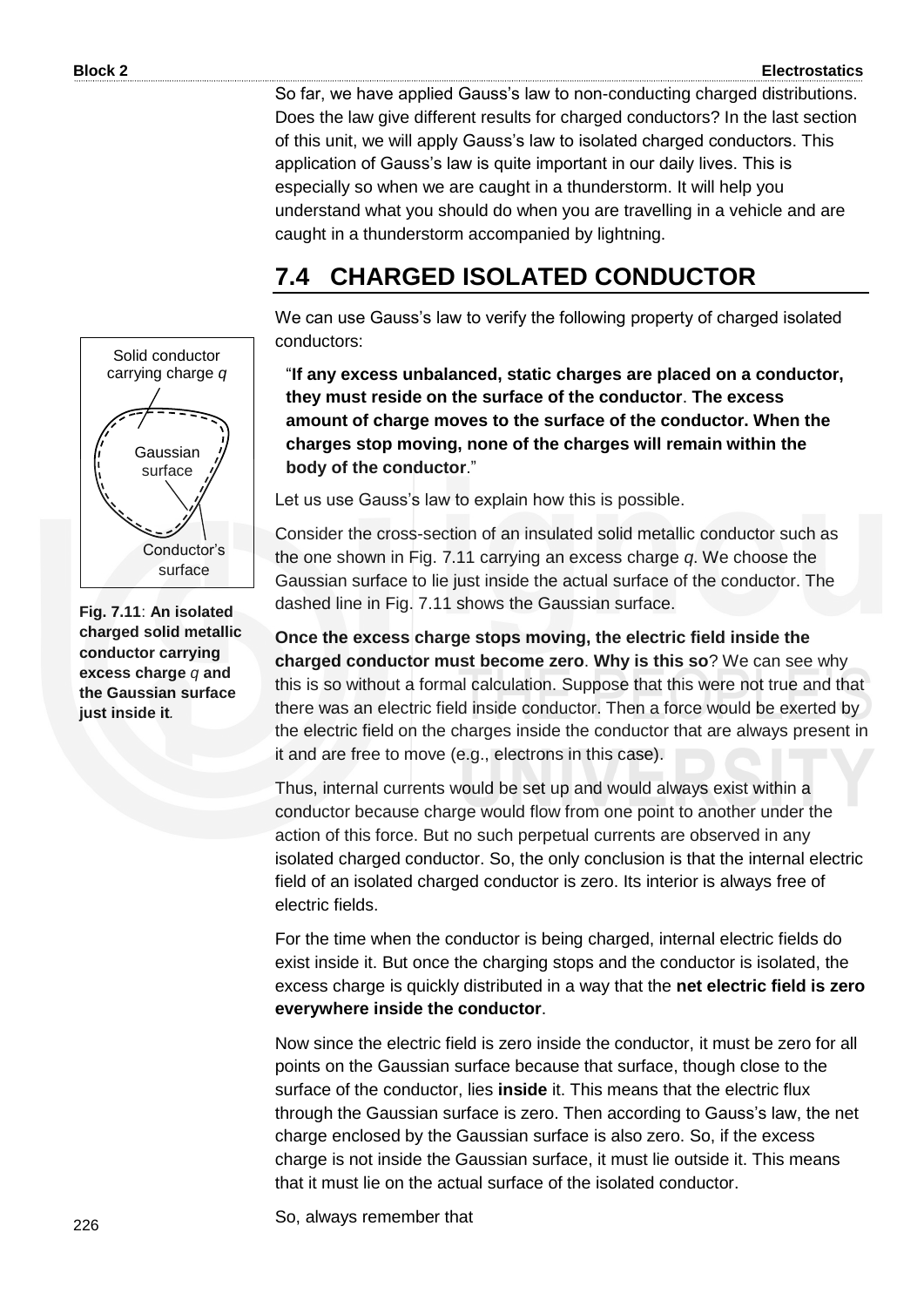So far, we have applied Gauss"s law to non-conducting charged distributions. Does the law give different results for charged conductors? In the last section of this unit, we will apply Gauss"s law to isolated charged conductors. This application of Gauss's law is quite important in our daily lives. This is especially so when we are caught in a thunderstorm. It will help you understand what you should do when you are travelling in a vehicle and are caught in a thunderstorm accompanied by lightning.

# **7.4 CHARGED ISOLATED CONDUCTOR**

We can use Gauss's law to verify the following property of charged isolated conductors:

"**If any excess unbalanced, static charges are placed on a conductor, they must reside on the surface of the conductor**. **The excess amount of charge moves to the surface of the conductor. When the charges stop moving, none of the charges will remain within the body of the conductor**."

Let us use Gauss's law to explain how this is possible.

Consider the cross-section of an insulated solid metallic conductor such as the one shown in Fig. 7.11 carrying an excess charge *q*. We choose the Gaussian surface to lie just inside the actual surface of the conductor. The dashed line in Fig. 7.11 shows the Gaussian surface.

**Once the excess charge stops moving, the electric field inside the charged conductor must become zero**. **Why is this so**? We can see why this is so without a formal calculation. Suppose that this were not true and that there was an electric field inside conductor. Then a force would be exerted by the electric field on the charges inside the conductor that are always present in it and are free to move (e.g., electrons in this case).

Thus, internal currents would be set up and would always exist within a conductor because charge would flow from one point to another under the action of this force. But no such perpetual currents are observed in any isolated charged conductor. So, the only conclusion is that the internal electric field of an isolated charged conductor is zero. Its interior is always free of electric fields.

For the time when the conductor is being charged, internal electric fields do exist inside it. But once the charging stops and the conductor is isolated, the excess charge is quickly distributed in a way that the **net electric field is zero everywhere inside the conductor**.

Now since the electric field is zero inside the conductor, it must be zero for all points on the Gaussian surface because that surface, though close to the surface of the conductor, lies **inside** it. This means that the electric flux through the Gaussian surface is zero. Then according to Gauss"s law, the net charge enclosed by the Gaussian surface is also zero. So, if the excess charge is not inside the Gaussian surface, it must lie outside it. This means that it must lie on the actual surface of the isolated conductor.

So, always remember that



**Fig. 7.11**: **An isolated charged solid metallic conductor carrying excess charge** *q* **and the Gaussian surface just inside it***.*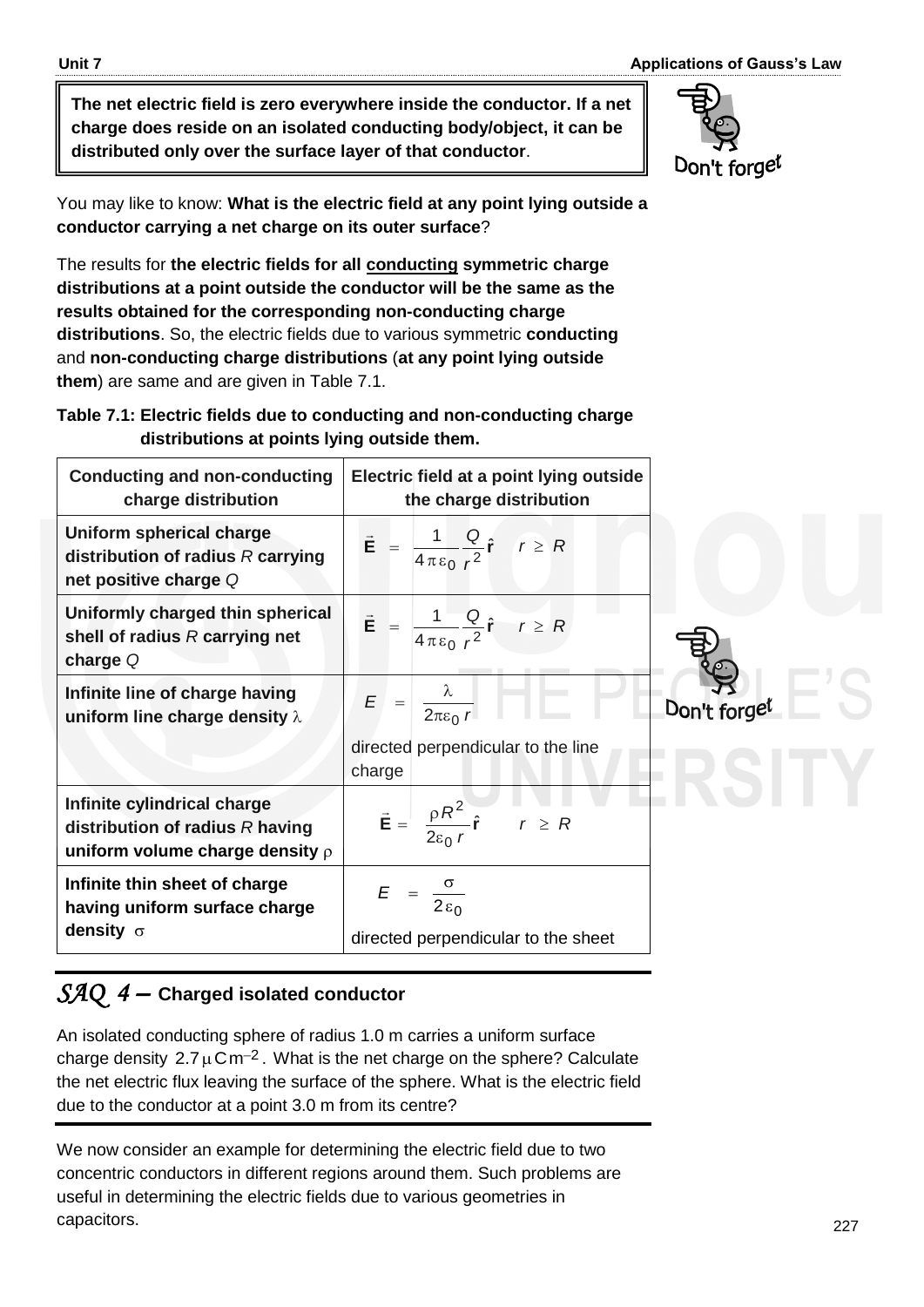**The net electric field is zero everywhere inside the conductor. If a net charge does reside on an isolated conducting body/object, it can be distributed only over the surface layer of that conductor**.

You may like to know: **What is the electric field at any point lying outside a conductor carrying a net charge on its outer surface**?

The results for **the electric fields for all conducting symmetric charge distributions at a point outside the conductor will be the same as the results obtained for the corresponding non-conducting charge distributions**. So, the electric fields due to various symmetric **conducting**  and **non-conducting charge distributions** (**at any point lying outside them**) are same and are given in Table 7.1.

#### **Table 7.1: Electric fields due to conducting and non-conducting charge distributions at points lying outside them.**

| <b>Conducting and non-conducting</b><br>charge distribution                                              | Electric field at a point lying outside<br>the charge distribution          |              |
|----------------------------------------------------------------------------------------------------------|-----------------------------------------------------------------------------|--------------|
| Uniform spherical charge<br>distribution of radius $R$ carrying<br>net positive charge Q                 | $\vec{E} = \frac{1}{4 \pi \epsilon_0} \frac{Q}{r^2} \hat{r}$ $r \ge R$      |              |
| Uniformly charged thin spherical<br>shell of radius $R$ carrying net<br>charge $Q$                       | $\vec{E} = \frac{1}{4\pi\epsilon_0} \frac{Q}{r^2} \hat{r}$ $r \ge R$        |              |
| Infinite line of charge having<br>uniform line charge density $\lambda$                                  | $E = \frac{\lambda}{2\pi\epsilon_0 r}$                                      | Don't forget |
|                                                                                                          | directed perpendicular to the line<br>charge                                |              |
| Infinite cylindrical charge<br>distribution of radius $R$ having<br>uniform volume charge density $\rho$ | $\vec{E} = \frac{\rho R^2}{2\epsilon_0 r} \hat{r}$ $r \ge R$                |              |
| Infinite thin sheet of charge<br>having uniform surface charge<br>density $\sigma$                       | $E = \frac{\sigma}{2 \varepsilon_0}$<br>directed perpendicular to the sheet |              |

# *SAQ 4 –* **Charged isolated conductor**

An isolated conducting sphere of radius 1.0 m carries a uniform surface charge density  $2.7 \mu$ Cm<sup>-2</sup>. What is the net charge on the sphere? Calculate the net electric flux leaving the surface of the sphere. What is the electric field due to the conductor at a point 3.0 m from its centre?

We now consider an example for determining the electric field due to two concentric conductors in different regions around them. Such problems are useful in determining the electric fields due to various geometries in capacitors.

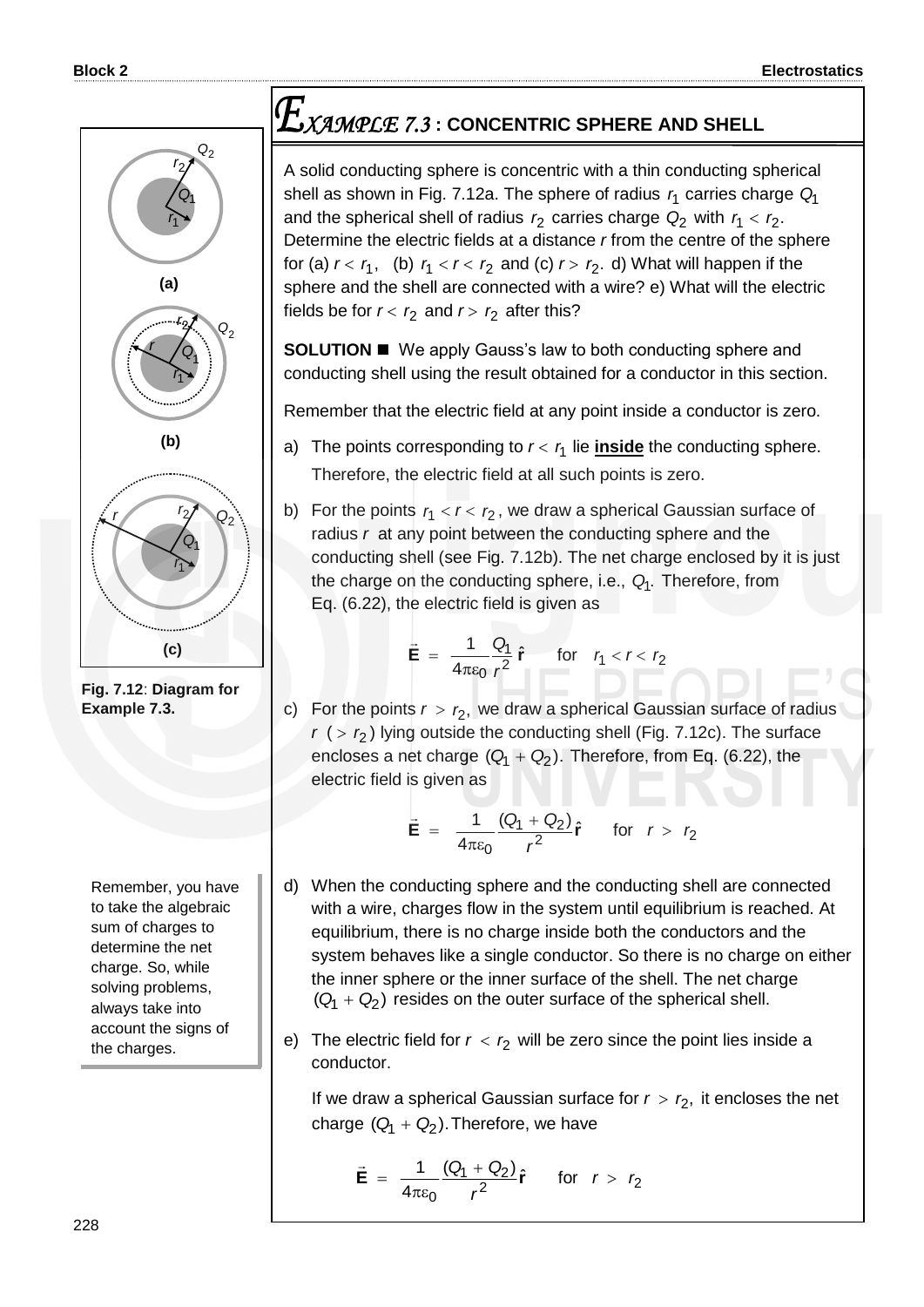

**Fig. 7.12**: **Diagram for Example 7.3.**

Remember, you have to take the algebraic sum of charges to determine the net charge. So, while solving problems, always take into account the signs of the charges.

# *XAMPLE 7.3* **: CONCENTRIC SPHERE AND SHELL**

A solid conducting sphere is concentric with a thin conducting spherical shell as shown in Fig. 7.12a. The sphere of radius 1 *r* carries charge *Q*1 and the spherical shell of radius  $r_2$  carries charge  $Q_2$  with  $r_1 < r_2$ . Determine the electric fields at a distance *r* from the centre of the sphere for (a)  $r < r_1$ , (b)  $r_1 < r < r_2$  and (c)  $r > r_2$ . d) What will happen if the sphere and the shell are connected with a wire? e) What will the electric fields be for  $r < r_2$  and  $r > r_2$  after this?

**SOLUTION**  We apply Gauss's law to both conducting sphere and conducting shell using the result obtained for a conductor in this section.

Remember that the electric field at any point inside a conductor is zero.

- a) The points corresponding to  $r < r<sub>1</sub>$  lie **inside** the conducting sphere. Therefore, the electric field at all such points is zero.
- b) For the points  $r_1 < r < r_2$ , we draw a spherical Gaussian surface of radius *r* at any point between the conducting sphere and the conducting shell (see Fig. 7.12b). The net charge enclosed by it is just the charge on the conducting sphere, i.e., . *Q*<sup>1</sup> Therefore, from Eq. (6.22), the electric field is given as

$$
\vec{\mathbf{E}} = \frac{1}{4\pi\epsilon_0} \frac{Q_1}{r^2} \hat{\mathbf{r}} \quad \text{for} \quad r_1 < r < r_2
$$

c) For the points  $r > r_2$ , we draw a spherical Gaussian surface of radius *r* ( 2 *r* ) lying outside the conducting shell (Fig. 7.12c). The surface encloses a net charge  $(Q_1 + Q_2)$ . Therefore, from Eq. (6.22), the electric field is given as

$$
\vec{\mathbf{E}} = \frac{1}{4\pi\varepsilon_0} \frac{(Q_1 + Q_2)}{r^2} \hat{\mathbf{r}} \quad \text{for} \quad r > r_2
$$

- d) When the conducting sphere and the conducting shell are connected with a wire, charges flow in the system until equilibrium is reached. At equilibrium, there is no charge inside both the conductors and the system behaves like a single conductor. So there is no charge on either the inner sphere or the inner surface of the shell. The net charge  $(Q_1 + Q_2)$  resides on the outer surface of the spherical shell.
- e) The electric field for  $r < r_2$  will be zero since the point lies inside a conductor.

If we draw a spherical Gaussian surface for  $r > r_2$ , it encloses the net charge  $(Q_1 + Q_2)$ . Therefore, we have

$$
\vec{\mathbf{E}} = \frac{1}{4\pi\epsilon_0} \frac{(Q_1 + Q_2)}{r^2} \hat{\mathbf{r}} \quad \text{for} \quad r > r_2
$$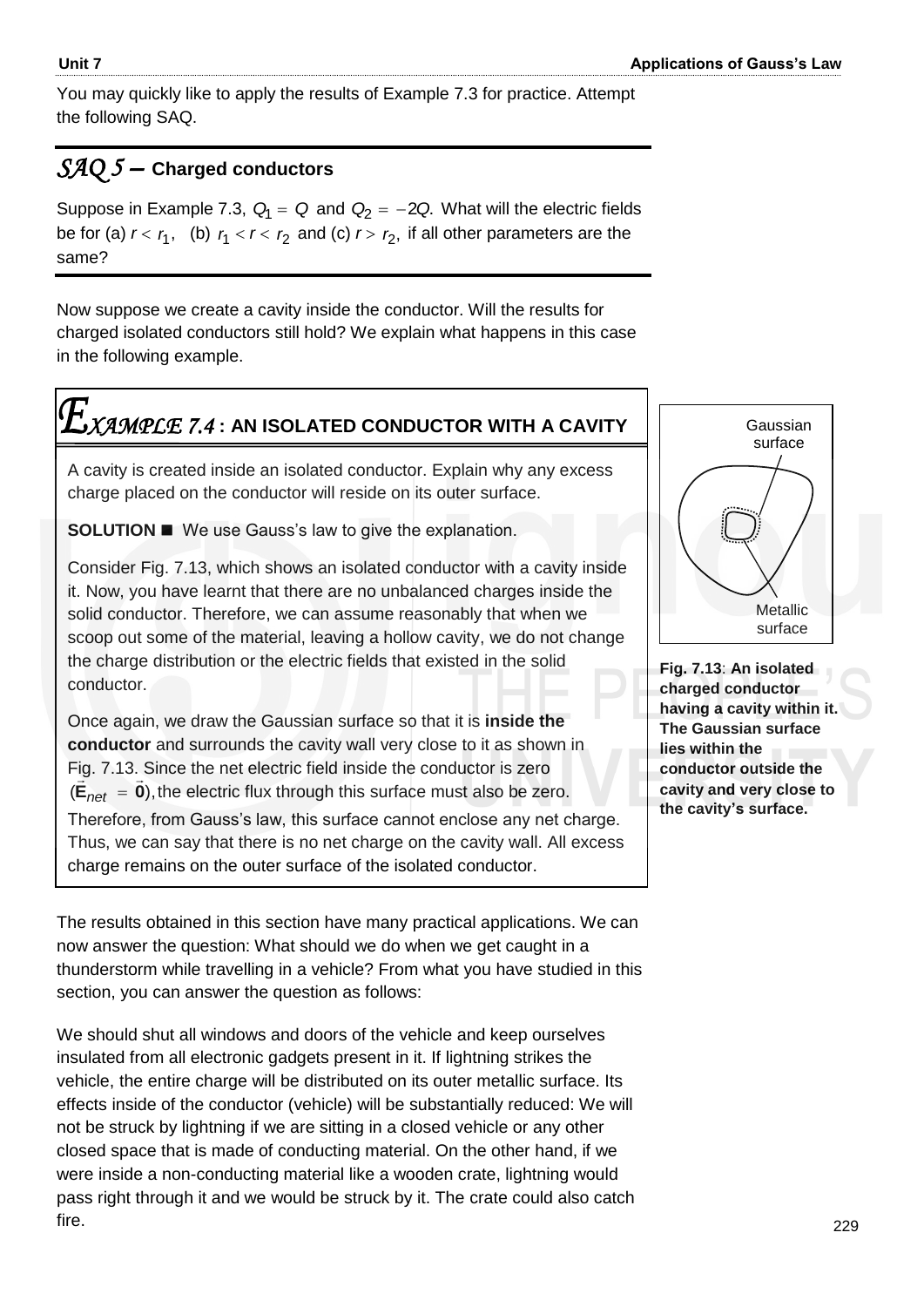You may quickly like to apply the results of Example 7.3 for practice. Attempt the following SAQ.

# *SAQ 5 –* **Charged conductors**

Suppose in Example 7.3,  $Q_1 = Q$  and  $Q_2 = -2Q$ . What will the electric fields be for (a)  $r < r_1$ , (b)  $r_1 < r < r_2$  and (c)  $r > r_2$ , if all other parameters are the same?

Now suppose we create a cavity inside the conductor. Will the results for charged isolated conductors still hold? We explain what happens in this case in the following example.

# *XAMPLE 7.4* **: AN ISOLATED CONDUCTOR WITH A CAVITY**

A cavity is created inside an isolated conductor. Explain why any excess charge placed on the conductor will reside on its outer surface.

**SOLUTION**  We use Gauss's law to give the explanation.

Consider Fig. 7.13, which shows an isolated conductor with a cavity inside it. Now, you have learnt that there are no unbalanced charges inside the solid conductor. Therefore, we can assume reasonably that when we scoop out some of the material, leaving a hollow cavity, we do not change the charge distribution or the electric fields that existed in the solid conductor.

Once again, we draw the Gaussian surface so that it is **inside the conductor** and surrounds the cavity wall very close to it as shown in Fig. 7.13. Since the net electric field inside the conductor is zero  $(E_{net} = 0)$ , the electric flux through this surface must also be zero. Therefore, from Gauss's law, this surface cannot enclose any net charge. Thus, we can say that there is no net charge on the cavity wall. All excess charge remains on the outer surface of the isolated conductor.

The results obtained in this section have many practical applications. We can now answer the question: What should we do when we get caught in a thunderstorm while travelling in a vehicle? From what you have studied in this section, you can answer the question as follows: 

We should shut all windows and doors of the vehicle and keep ourselves insulated from all electronic gadgets present in it. If lightning strikes the vehicle, the entire charge will be distributed on its outer metallic surface. Its effects inside of the conductor (vehicle) will be substantially reduced: We will not be struck by lightning if we are sitting in a closed vehicle or any other closed space that is made of conducting material. On the other hand, if we were inside a non-conducting material like a wooden crate, lightning would pass right through it and we would be struck by it. The crate could also catch fire.



**Fig. 7.13**: **An isolated charged conductor having a cavity within it. The Gaussian surface lies within the conductor outside the cavity and very close to the cavity's surface.**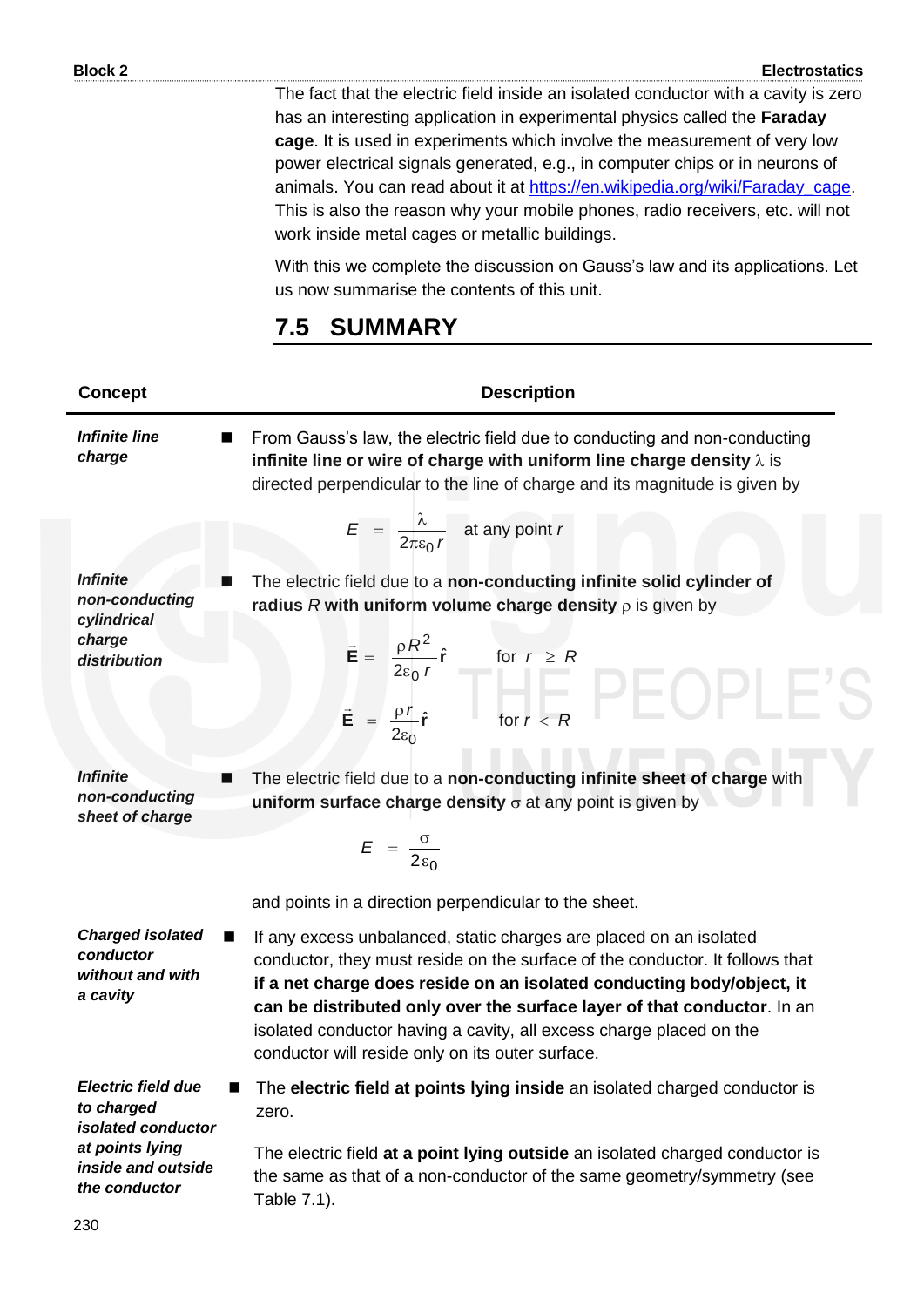The fact that the electric field inside an isolated conductor with a cavity is zero has an interesting application in experimental physics called the **Faraday cage**. It is used in experiments which involve the measurement of very low power electrical signals generated, e.g., in computer chips or in neurons of animals. You can read about it at [https://en.wikipedia.org/wiki/Faraday\\_cage.](https://en.wikipedia.org/wiki/Faraday_cage) This is also the reason why your mobile phones, radio receivers, etc. will not work inside metal cages or metallic buildings.

With this we complete the discussion on Gauss"s law and its applications. Let us now summarise the contents of this unit.

# **7.5 SUMMARY**

| <b>Concept</b>                                                       | <b>Description</b>                                                                                                                                                                                                                                                                                                                                                                                                                |  |
|----------------------------------------------------------------------|-----------------------------------------------------------------------------------------------------------------------------------------------------------------------------------------------------------------------------------------------------------------------------------------------------------------------------------------------------------------------------------------------------------------------------------|--|
| <b>Infinite line</b><br>charge                                       | From Gauss's law, the electric field due to conducting and non-conducting<br>infinite line or wire of charge with uniform line charge density $\lambda$ is<br>directed perpendicular to the line of charge and its magnitude is given by                                                                                                                                                                                          |  |
|                                                                      | $E = \frac{\lambda}{2\pi\epsilon_0 r}$ at any point r                                                                                                                                                                                                                                                                                                                                                                             |  |
| <b>Infinite</b><br>non-conducting<br>cylindrical                     | The electric field due to a non-conducting infinite solid cylinder of<br>radius R with uniform volume charge density $\rho$ is given by                                                                                                                                                                                                                                                                                           |  |
| charge<br>distribution                                               | $\vec{E} = \frac{\rho R^2}{2\varepsilon_0 r} \hat{r}$ for $r \ge R$<br>$\vec{E} = \frac{\rho r}{2\varepsilon_0} \hat{r}$ for $r < R$                                                                                                                                                                                                                                                                                              |  |
|                                                                      |                                                                                                                                                                                                                                                                                                                                                                                                                                   |  |
| <b>Infinite</b><br>■<br>non-conducting<br>sheet of charge            | The electric field due to a non-conducting infinite sheet of charge with<br>uniform surface charge density $\sigma$ at any point is given by                                                                                                                                                                                                                                                                                      |  |
|                                                                      | $E = \frac{\sigma}{2\varepsilon_0}$                                                                                                                                                                                                                                                                                                                                                                                               |  |
|                                                                      | and points in a direction perpendicular to the sheet.                                                                                                                                                                                                                                                                                                                                                                             |  |
| <b>Charged isolated</b><br>conductor<br>without and with<br>a cavity | If any excess unbalanced, static charges are placed on an isolated<br>conductor, they must reside on the surface of the conductor. It follows that<br>if a net charge does reside on an isolated conducting body/object, it<br>can be distributed only over the surface layer of that conductor. In an<br>isolated conductor having a cavity, all excess charge placed on the<br>conductor will reside only on its outer surface. |  |
| <b>Electric field due</b><br>to charged<br>isolated conductor        | The electric field at points lying inside an isolated charged conductor is<br>zero.                                                                                                                                                                                                                                                                                                                                               |  |
| at points lying<br>inside and outside<br>the conductor               | The electric field at a point lying outside an isolated charged conductor is<br>the same as that of a non-conductor of the same geometry/symmetry (see<br>Table 7.1).                                                                                                                                                                                                                                                             |  |
| -230.                                                                |                                                                                                                                                                                                                                                                                                                                                                                                                                   |  |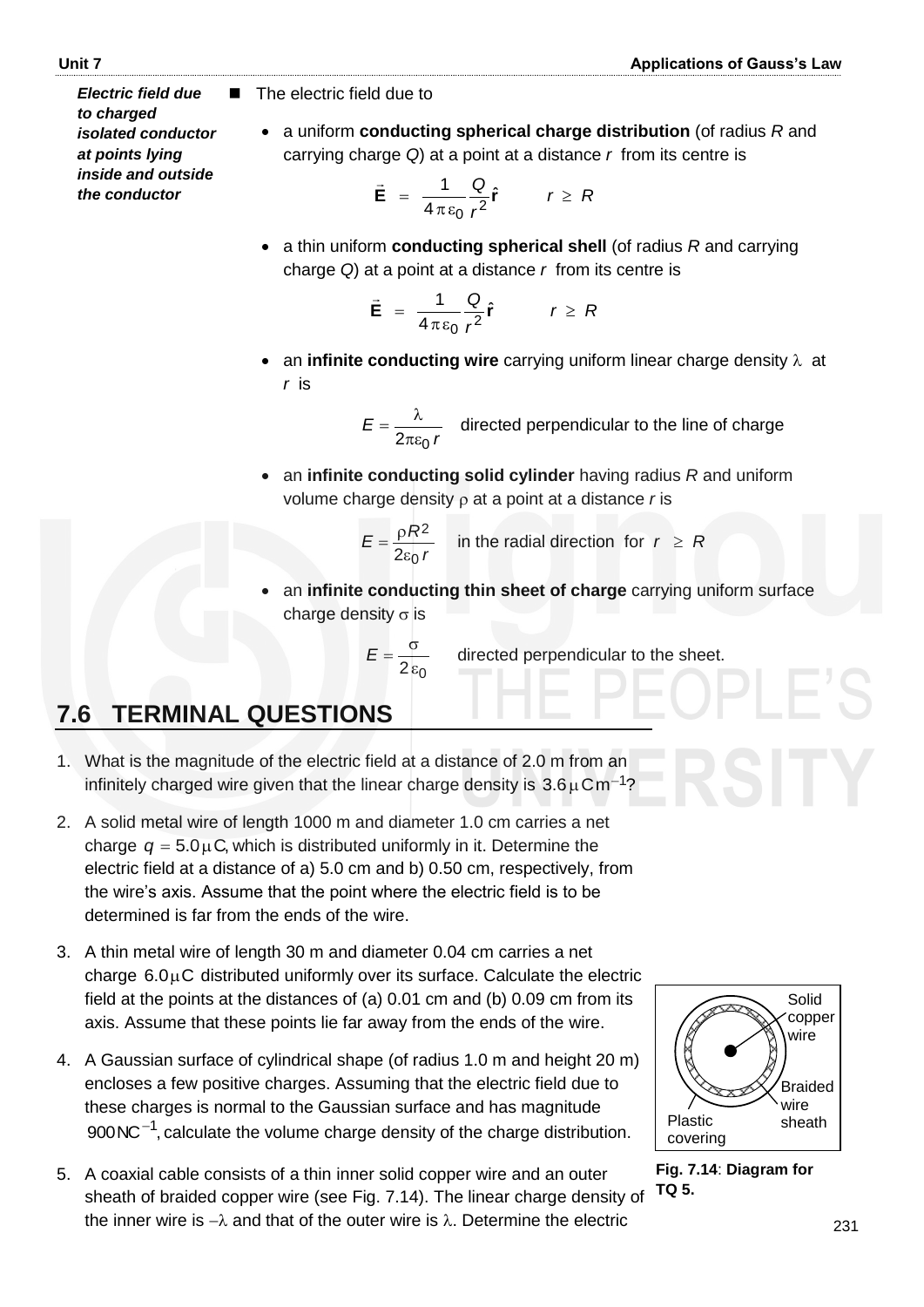The electric field due to

 a uniform **conducting spherical charge distribution** (of radius *R* and carrying charge *Q*) at a point at a distance *r* from its centre is

$$
\vec{E} = \frac{1}{4\pi\epsilon_0} \frac{Q}{r^2} \hat{r} \qquad r \ge R
$$

 a thin uniform **conducting spherical shell** (of radius *R* and carrying charge *Q*) at a point at a distance *r* from its centre is

$$
\vec{E} = \frac{1}{4\pi\epsilon_0} \frac{Q}{r^2} \hat{r} \qquad r \geq R
$$

• an **infinite conducting wire** carrying uniform linear charge density  $\lambda$  at *r* is

$$
E = \frac{\lambda}{2\pi\varepsilon_0 r}
$$
 directed perpendicular to the line of charge

 an **infinite conducting solid cylinder** having radius *R* and uniform volume charge density  $\rho$  at a point at a distance  $r$  is

$$
E = \frac{\rho R^2}{2\varepsilon_0 r}
$$
 in the radial direction for  $r \ge R$ 

 an **infinite conducting thin sheet of charge** carrying uniform surface charge density  $\sigma$  is

$$
E=\frac{\sigma}{2\epsilon_0}
$$

directed perpendicular to the sheet.

# **7.6 TERMINAL QUESTIONS**

- 1. What is the magnitude of the electric field at a distance of 2.0 m from an infinitely charged wire given that the linear charge density is  $3.6 \mu$ Cm<sup>-1</sup>?
- 2. A solid metal wire of length 1000 m and diameter 1.0 cm carries a net charge  $q = 5.0 \mu$ C, which is distributed uniformly in it. Determine the electric field at a distance of a) 5.0 cm and b) 0.50 cm, respectively, from the wire"s axis. Assume that the point where the electric field is to be determined is far from the ends of the wire.
- 3. A thin metal wire of length 30 m and diameter 0.04 cm carries a net charge  $6.0\mu$ C distributed uniformly over its surface. Calculate the electric field at the points at the distances of (a) 0.01 cm and (b) 0.09 cm from its axis. Assume that these points lie far away from the ends of the wire.
- 4. A Gaussian surface of cylindrical shape (of radius 1.0 m and height 20 m) encloses a few positive charges. Assuming that the electric field due to these charges is normal to the Gaussian surface and has magnitude  $900$  NC $^{-1}$ , calculate the volume charge density of the charge distribution.
- 5. A coaxial cable consists of a thin inner solid copper wire and an outer sheath of braided copper wire (see Fig. 7.14). The linear charge density of the inner wire is  $-\lambda$  and that of the outer wire is  $\lambda$ . Determine the electric



**Fig. 7.14**: **Diagram for TQ 5.**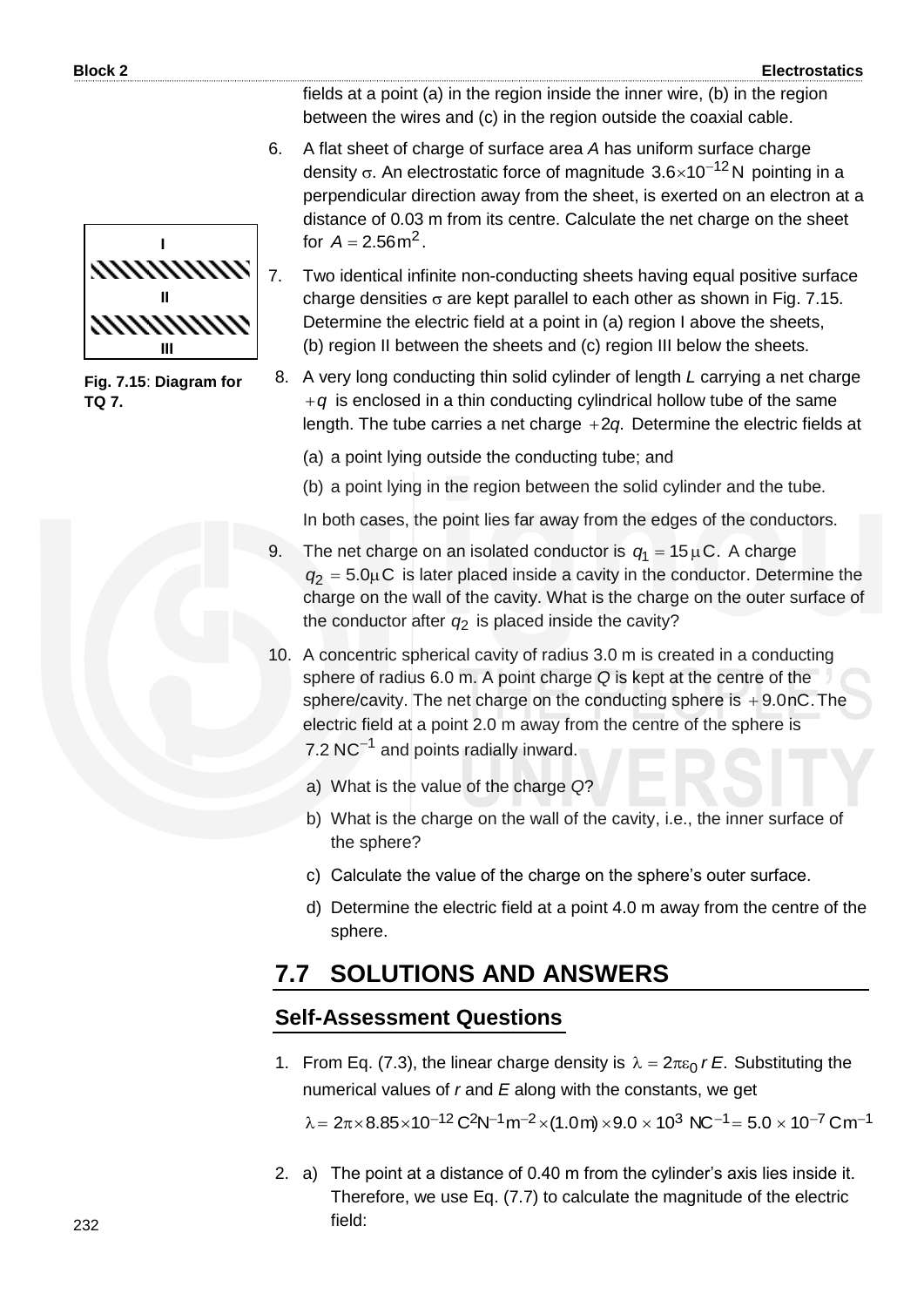

**Fig. 7.15**: **Diagram for TQ 7.**

fields at a point (a) in the region inside the inner wire, (b) in the region between the wires and (c) in the region outside the coaxial cable.

6. A flat sheet of charge of surface area *A* has uniform surface charge density  $\sigma$ . An electrostatic force of magnitude  $3.6\times10^{-12}$ N pointing in a perpendicular direction away from the sheet, is exerted on an electron at a distance of 0.03 m from its centre. Calculate the net charge on the sheet for  $A = 2.56 \text{ m}^2$ .

7. Two identical infinite non-conducting sheets having equal positive surface charge densities  $\sigma$  are kept parallel to each other as shown in Fig. 7.15. Determine the electric field at a point in (a) region I above the sheets, (b) region II between the sheets and (c) region III below the sheets.

8. A very long conducting thin solid cylinder of length *L* carrying a net charge  $+q$  is enclosed in a thin conducting cylindrical hollow tube of the same length. The tube carries a net charge +2q. Determine the electric fields at

(a) a point lying outside the conducting tube; and

(b) a point lying in the region between the solid cylinder and the tube.

In both cases, the point lies far away from the edges of the conductors.

- 9. The net charge on an isolated conductor is  $q_1 = 15 \,\mu\text{C}$ . A charge  $q_2 = 5.0 \mu C$  is later placed inside a cavity in the conductor. Determine the charge on the wall of the cavity. What is the charge on the outer surface of the conductor after *q*2 is placed inside the cavity?
- 10. A concentric spherical cavity of radius 3.0 m is created in a conducting sphere of radius 6.0 m. A point charge *Q* is kept at the centre of the sphere/cavity. The net charge on the conducting sphere is  $+9.0$ nC. The electric field at a point 2.0 m away from the centre of the sphere is 7.2  $NC^{-1}$  and points radially inward.
	- a) What is the value of the charge *Q*?
	- b) What is the charge on the wall of the cavity, i.e., the inner surface of the sphere?
	- c) Calculate the value of the charge on the sphere"s outer surface.
	- d) Determine the electric field at a point 4.0 m away from the centre of the sphere.

# **7.7 SOLUTIONS AND ANSWERS**

#### **Self-Assessment Questions**

1. From Eq. (7.3), the linear charge density is  $\lambda = 2\pi\varepsilon_0 rE$ . Substituting the numerical values of *r* and *E* along with the constants, we get

 $\lambda = 2\pi \times 8.85 \times 10^{-12} \text{ C}^2 \text{N}^{-1} \text{m}^{-2} \times (1.0 \text{ m}) \times 9.0 \times 10^3 \text{ N} \text{C}^{-1} = 5.0 \times 10^{-7} \text{ C} \text{m}^{-1}$ 

2. a) The point at a distance of 0.40 m from the cylinder"s axis lies inside it. Therefore, we use Eq. (7.7) to calculate the magnitude of the electric field: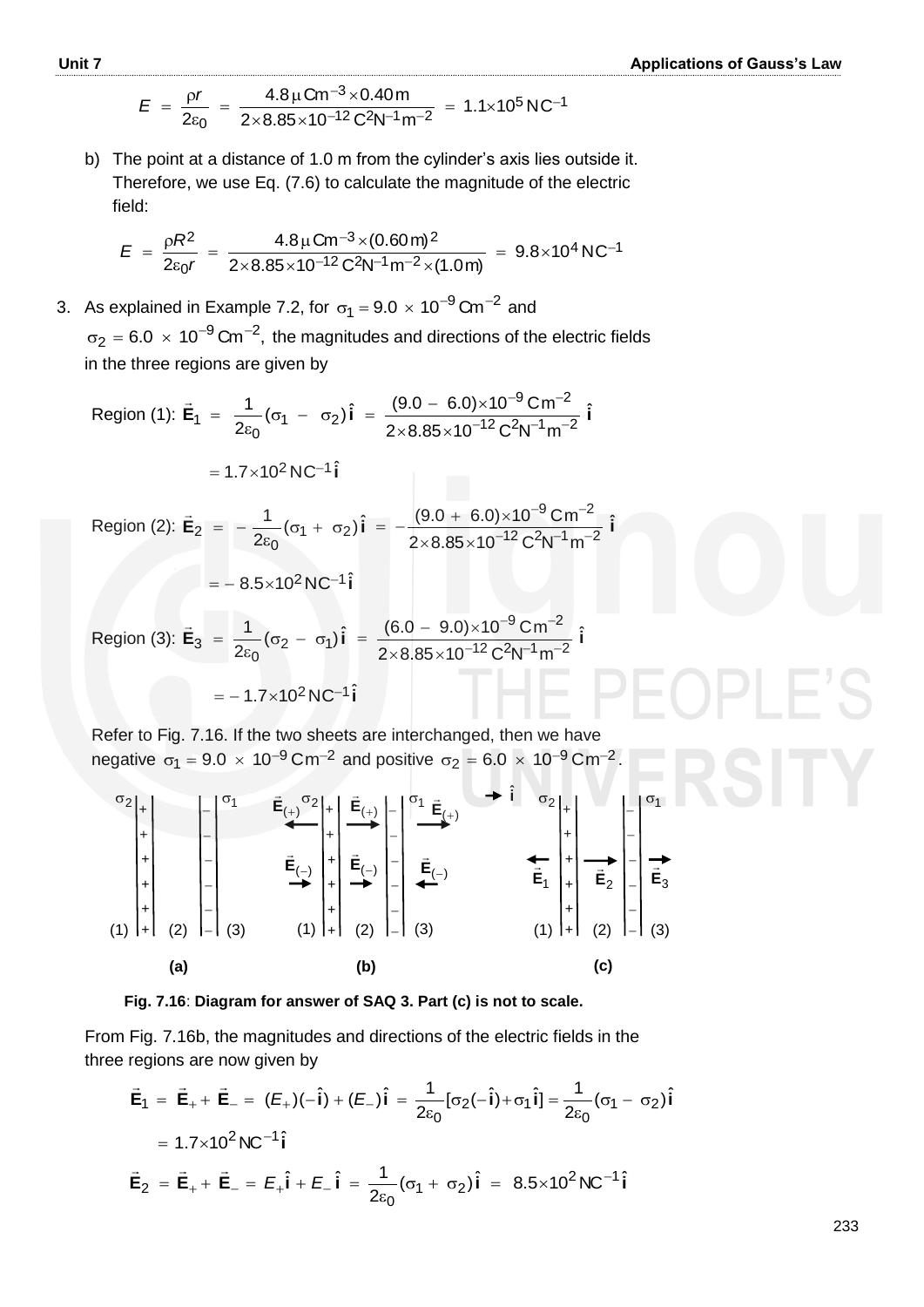$$
E = \frac{\rho r}{2\varepsilon_0} = \frac{4.8 \,\mu \text{C} \text{m}^{-3} \times 0.40 \,\text{m}}{2 \times 8.85 \times 10^{-12} \,\text{C}^2 \text{N}^{-1} \text{m}^{-2}} = 1.1 \times 10^5 \,\text{N} \text{C}^{-1}
$$

b) The point at a distance of 1.0 m from the cylinder"s axis lies outside it. Therefore, we use Eq. (7.6) to calculate the magnitude of the electric field:

$$
E = \frac{\rho R^2}{2\varepsilon_0 r} = \frac{4.8 \,\mu \text{C} \text{m}^{-3} \times (0.60 \,\text{m})^2}{2 \times 8.85 \times 10^{-12} \,\text{C}^2 \text{N}^{-1} \text{m}^{-2} \times (1.0 \,\text{m})} = 9.8 \times 10^4 \,\text{N} \text{C}^{-1}
$$

3. As explained in Example 7.2, for  $\sigma_1 = 9.0 \times 10^{-9}$  Cm<sup>-2</sup> and  $\sigma_2$  = 6.0  $\times$  10<sup>-9</sup> Cm<sup>-2</sup>, the magnitudes and directions of the electric fields in the three regions are given by

Region (1):

\n
$$
\vec{E}_{1} = \frac{1}{2\epsilon_{0}} (\sigma_{1} - \sigma_{2}) \hat{i} = \frac{(9.0 - 6.0) \times 10^{-9} \text{ cm}^{-2}}{2 \times 8.85 \times 10^{-12} \text{ C}^{2} \text{N}^{-1} \text{m}^{-2}} \hat{i}
$$
\n
$$
= 1.7 \times 10^{2} \text{ N C}^{-1} \hat{i}
$$
\nRegion (2):

\n
$$
\vec{E}_{2} = -\frac{1}{2\epsilon_{0}} (\sigma_{1} + \sigma_{2}) \hat{i} = -\frac{(9.0 + 6.0) \times 10^{-9} \text{ cm}^{-2}}{2 \times 8.85 \times 10^{-12} \text{ C}^{2} \text{N}^{-1} \text{m}^{-2}} \hat{i}
$$
\n
$$
= -8.5 \times 10^{2} \text{ N C}^{-1} \hat{i}
$$
\nRegion (3):

\n
$$
\vec{E}_{3} = \frac{1}{2\epsilon_{0}} (\sigma_{2} - \sigma_{1}) \hat{i} = \frac{(6.0 - 9.0) \times 10^{-9} \text{ cm}^{-2}}{2 \times 8.85 \times 10^{-12} \text{ C}^{2} \text{N}^{-1} \text{m}^{-2}} \hat{i}
$$
\n
$$
= -1.7 \times 10^{2} \text{ N C}^{-1} \hat{i}
$$

Refer to Fig. 7.16. If the two sheets are interchanged, then we have negative  $\sigma_1 = 9.0 \times 10^{-9}$  Cm<sup>-2</sup> and positive  $\sigma_2 = 6.0 \times 10^{-9}$  Cm<sup>-2</sup>.



**Fig. 7.16**: **Diagram for answer of SAQ 3. Part (c) is not to scale.**

From Fig. 7.16b, the magnitudes and directions of the electric fields in the three regions are now given by

$$
\vec{E}_1 = \vec{E}_+ + \vec{E}_- = (E_+)(-\hat{i}) + (E_-)\hat{i} = \frac{1}{2\varepsilon_0} [\sigma_2(-\hat{i}) + \sigma_1 \hat{i}] = \frac{1}{2\varepsilon_0} (\sigma_1 - \sigma_2) \hat{i}
$$
  
= 1.7×10<sup>2</sup> NC<sup>-1</sup>î  

$$
\vec{E}_2 = \vec{E}_+ + \vec{E}_- = E_+ \hat{i} + E_- \hat{i} = \frac{1}{2\varepsilon_0} (\sigma_1 + \sigma_2) \hat{i} = 8.5 \times 10^2 NC^{-1} \hat{i}
$$

233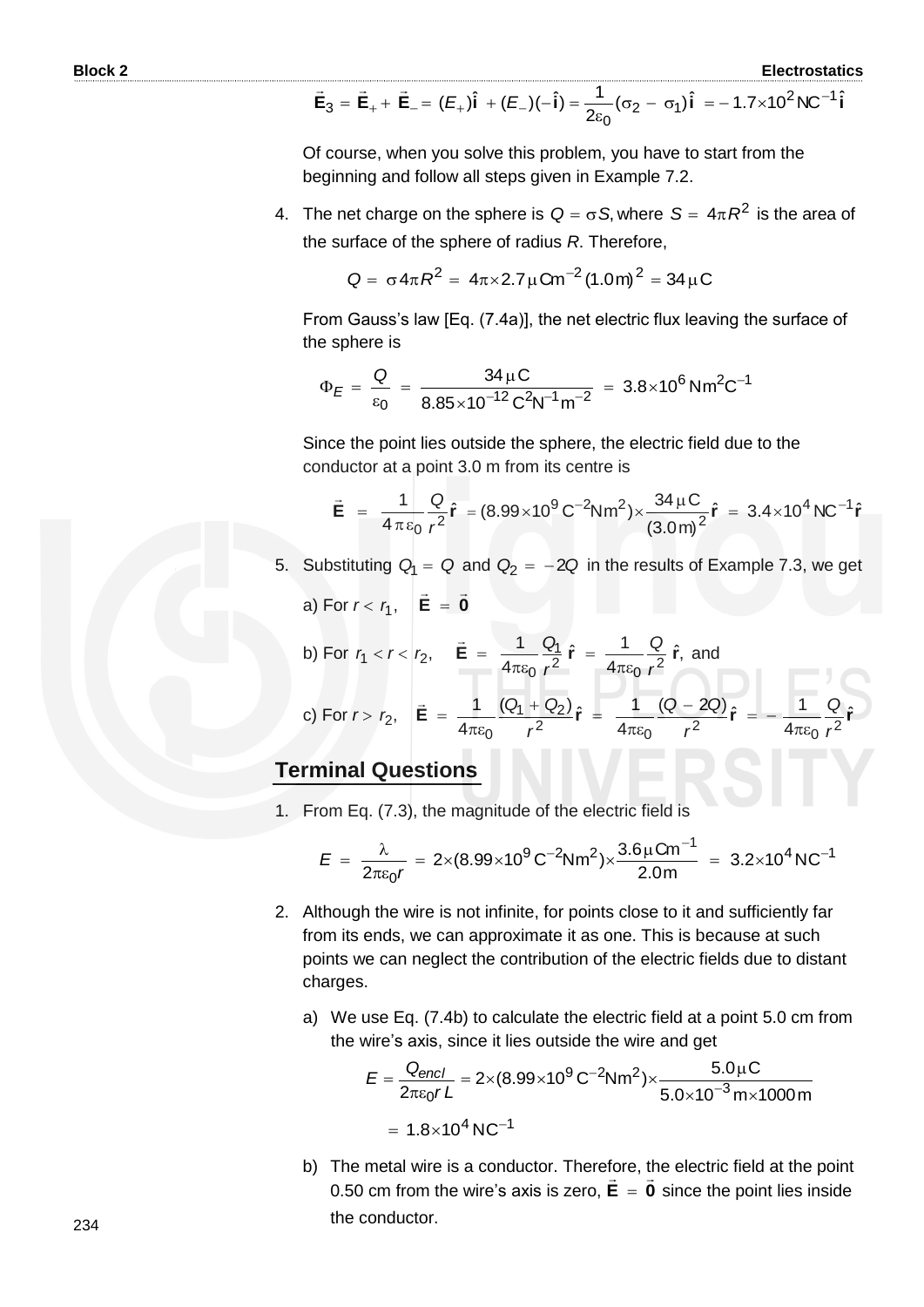$$
\vec{E}_3 = \vec{E}_+ + \vec{E}_- = (E_+)\hat{i} + (E_-)(-\hat{i}) = \frac{1}{2\epsilon_0}(\sigma_2 - \sigma_1)\hat{i} = -1.7 \times 10^2 N C^{-1} \hat{i}
$$

Of course, when you solve this problem, you have to start from the beginning and follow all steps given in Example 7.2.

4. The net charge on the sphere is  $Q = \sigma S$ , where  $S = 4\pi R^2$  is the area of the surface of the sphere of radius *R*. Therefore,

$$
Q = \sigma 4\pi R^2 = 4\pi \times 2.7 \mu \text{Cm}^{-2} (1.0 \text{m})^2 = 34 \mu \text{C}
$$

From Gauss"s law [Eq. (7.4a)], the net electric flux leaving the surface of the sphere is

$$
\Phi_E = \frac{Q}{\epsilon_0} = \frac{34 \,\mu\text{C}}{8.85 \times 10^{-12} \,\text{C}^2 \text{N}^{-1} \text{m}^{-2}} = 3.8 \times 10^6 \,\text{N} \text{m}^2 \text{C}^{-1}
$$

Since the point lies outside the sphere, the electric field due to the conductor at a point 3.0 m from its centre is

$$
\vec{E} = \frac{1}{4\pi\epsilon_0} \frac{Q}{r^2} \hat{r} = (8.99 \times 10^9 \,\text{C}^{-2}\text{N} \,\text{m}^2) \times \frac{34\,\mu\text{C}}{(3.0\,\text{m})^2} \hat{r} = 3.4 \times 10^4 \,\text{NC}^{-1} \hat{r}
$$

- 5. Substituting  $Q_1 = Q$  and  $Q_2 = -2Q$  in the results of Example 7.3, we get
	- a) For  $r < r_1$ , **E** = **0**  $\overline{z}$  and  $\overline{z}$  $= 0$

b) For 
$$
r_1 < r < r_2
$$
,  $\vec{E} = \frac{1}{4\pi\epsilon_0} \frac{Q_1}{r^2} \hat{r} = \frac{1}{4\pi\epsilon_0} \frac{Q}{r^2} \hat{r}$ , and  
\nc) For  $r > r_2$ ,  $\vec{E} = \frac{1}{4\pi\epsilon_0} \frac{(Q_1 + Q_2)}{r^2} \hat{r} = \frac{1}{4\pi\epsilon_0} \frac{(Q - 2Q)}{r^2} \hat{r} = -\frac{1}{4\pi\epsilon_0} \frac{Q}{r^2} \hat{r}$ 

#### **Terminal Questions**

1. From Eq. (7.3), the magnitude of the electric field is

$$
E = \frac{\lambda}{2\pi\epsilon_0 r} = 2 \times (8.99 \times 10^9 \,\text{C}^{-2}\text{N} \text{m}^2) \times \frac{3.6 \,\mu\text{C} \text{m}^{-1}}{2.0 \,\text{m}} = 3.2 \times 10^4 \,\text{N} \text{C}^{-1}
$$

- 2. Although the wire is not infinite, for points close to it and sufficiently far from its ends, we can approximate it as one. This is because at such points we can neglect the contribution of the electric fields due to distant charges.
	- a) We use Eq. (7.4b) to calculate the electric field at a point 5.0 cm from the wire's axis, since it lies outside the wire and get

$$
E = \frac{Q_{encl}}{2\pi\epsilon_0 r L} = 2 \times (8.99 \times 10^9 \,\text{C}^{-2}\text{N} \text{m}^2) \times \frac{5.0 \,\mu\text{C}}{5.0 \times 10^{-3} \,\text{m} \times 1000 \,\text{m}}
$$
\n
$$
= 1.8 \times 10^4 \,\text{N} \text{C}^{-1}
$$

b) The metal wire is a conductor. Therefore, the electric field at the point 0.50 cm from the wire's axis is zero,  $E = 0$  since the point lies inside the conductor.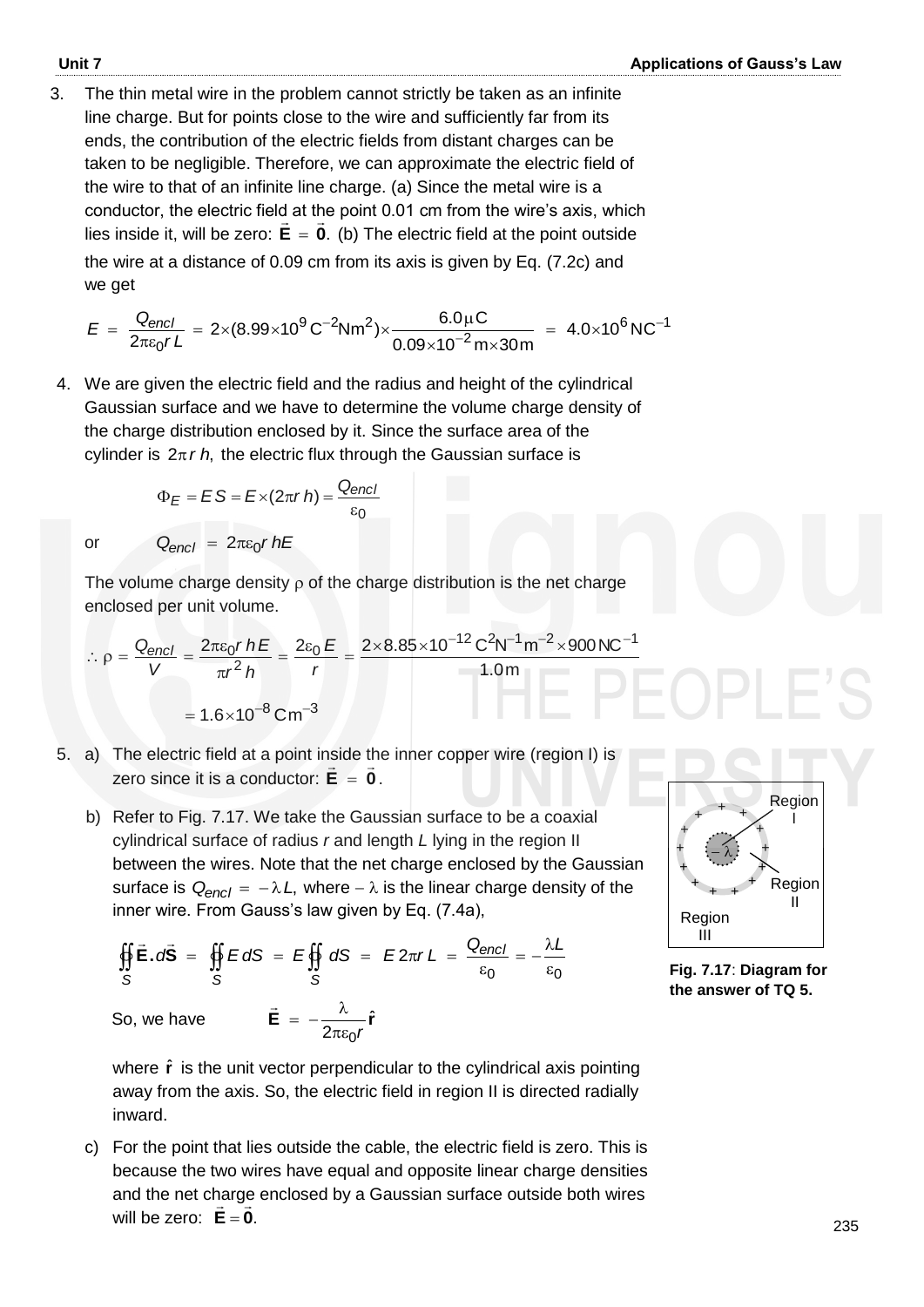3. The thin metal wire in the problem cannot strictly be taken as an infinite line charge. But for points close to the wire and sufficiently far from its ends, the contribution of the electric fields from distant charges can be taken to be negligible. Therefore, we can approximate the electric field of the wire to that of an infinite line charge. (a) Since the metal wire is a conductor, the electric field at the point 0.01 cm from the wire's axis, which  $\frac{1}{2}$ lies inside it, will be zero:  $E = 0$ . (b) The electric field at the point outside the wire at a distance of 0.09 cm from its axis is given by Eq. (7.2c) and we get

$$
E = \frac{Q_{encl}}{2\pi\epsilon_0 rL} = 2 \times (8.99 \times 10^9 \,\text{C}^{-2}\text{N} \text{m}^2) \times \frac{6.0 \,\mu\text{C}}{0.09 \times 10^{-2} \,\text{m} \times 30 \,\text{m}} = 4.0 \times 10^6 \,\text{NC}^{-1}
$$

4. We are given the electric field and the radius and height of the cylindrical Gaussian surface and we have to determine the volume charge density of the charge distribution enclosed by it. Since the surface area of the cylinder is  $2\pi r h$ , the electric flux through the Gaussian surface is

$$
\Phi_E = ES = E \times (2\pi r h) = \frac{Q_{encl}}{\varepsilon_0}
$$

or  $Q_{encl} = 2\pi\varepsilon_0 r hE$ 

The volume charge density  $\rho$  of the charge distribution is the net charge enclosed per unit volume.

$$
\therefore \rho = \frac{Q_{encl}}{V} = \frac{2\pi\epsilon_0 r hE}{\pi r^2 h} = \frac{2\epsilon_0 E}{r} = \frac{2 \times 8.85 \times 10^{-12} \text{ C}^2 \text{N}^{-1} \text{m}^{-2} \times 900 \text{N} \text{C}^{-1}}{1.0 \text{m}}
$$

$$
= 1.6 \times 10^{-8} \text{ C m}^{-3}
$$

- 5. a) The electric field at a point inside the inner copper wire (region I) is zero since it is a conductor:  $E = 0$ .
	- b) Refer to Fig. 7.17. We take the Gaussian surface to be a coaxial cylindrical surface of radius *r* and length *L* lying in the region II between the wires. Note that the net charge enclosed by the Gaussian surface is  $Q_{encl} = -\lambda L$ , where  $-\lambda$  is the linear charge density of the inner wire. From Gauss's law given by Eq. (7.4a),

$$
\oint_{S} \vec{E} \cdot d\vec{S} = \oint_{S} E dS = E \oint_{S} dS = E 2\pi r L = \frac{Q_{encl}}{\varepsilon_{0}} = -\frac{\lambda L}{\varepsilon_{0}}
$$
  
So, we have 
$$
\vec{E} = -\frac{\lambda}{2\pi\varepsilon_{0}r} \hat{r}
$$

where  $\hat{\mathbf{r}}$  is the unit vector perpendicular to the cylindrical axis pointing away from the axis. So, the electric field in region II is directed radially inward.

c) For the point that lies outside the cable, the electric field is zero. This is because the two wires have equal and opposite linear charge densities and the net charge enclosed by a Gaussian surface outside both wires will be zero:  $E = 0$ .



**Fig. 7.17**: **Diagram for the answer of TQ 5.**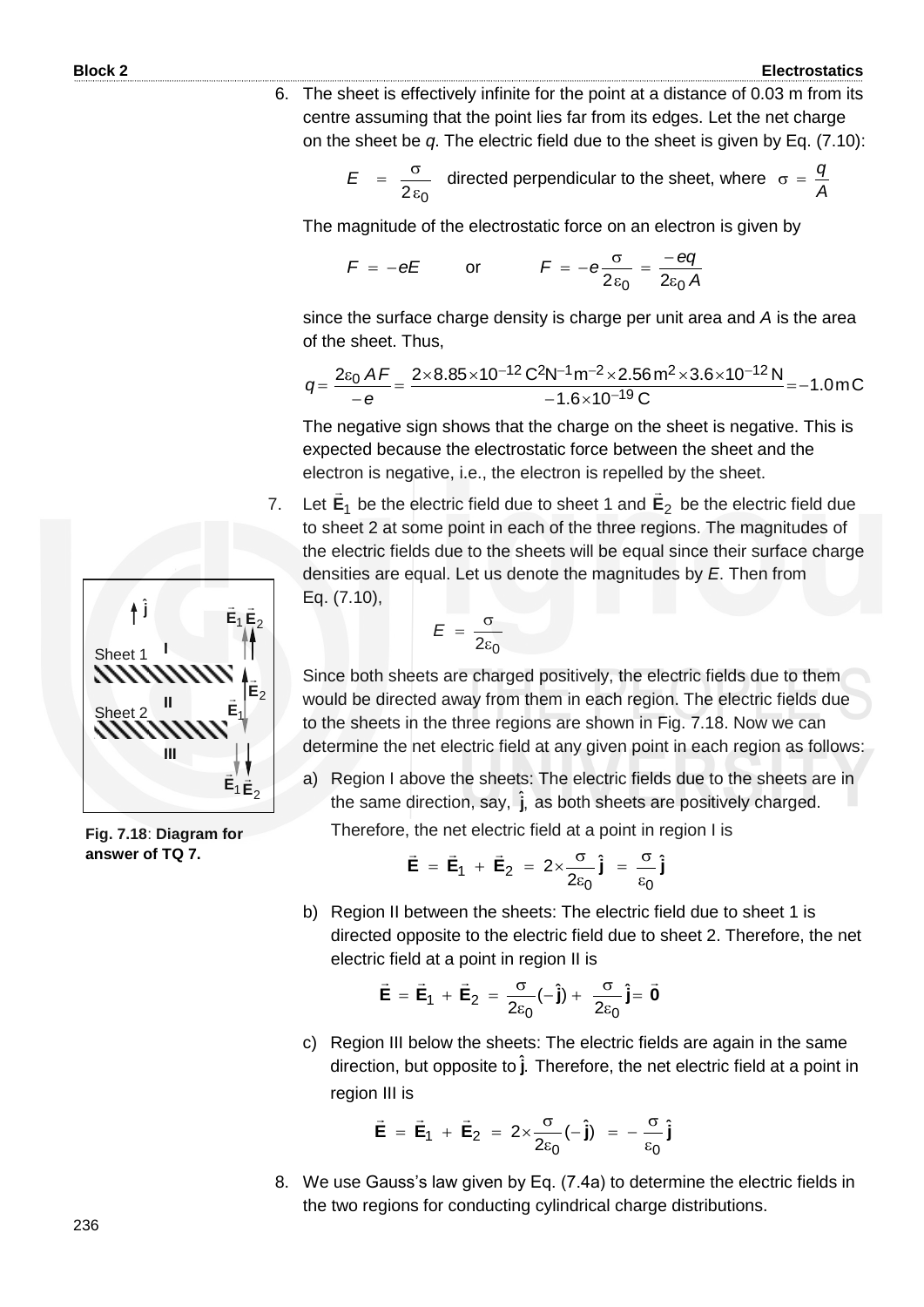6. The sheet is effectively infinite for the point at a distance of 0.03 m from its centre assuming that the point lies far from its edges. Let the net charge on the sheet be *q*. The electric field due to the sheet is given by Eq. (7.10):

$$
E = \frac{\sigma}{2 \epsilon_0}
$$
 directed perpendicular to the sheet, where  $\sigma = \frac{q}{A}$ 

The magnitude of the electrostatic force on an electron is given by

$$
F = -eE \qquad \text{or} \qquad F = -e\frac{\sigma}{2\varepsilon_0} = \frac{-eq}{2\varepsilon_0 A}
$$

since the surface charge density is charge per unit area and *A* is the area of the sheet. Thus,

$$
q = \frac{2\varepsilon_0 AF}{-e} = \frac{2 \times 8.85 \times 10^{-12} \text{ C}^2 \text{N}^{-1} \text{m}^{-2} \times 2.56 \text{ m}^2 \times 3.6 \times 10^{-12} \text{N}}{-1.6 \times 10^{-19} \text{ C}} = -1.0 \text{ mC}
$$

The negative sign shows that the charge on the sheet is negative. This is expected because the electrostatic force between the sheet and the electron is negative, i.e., the electron is repelled by the sheet.

7. Let **E**1  $\rightarrow$ be the electric field due to sheet 1 and **E**2  $\overline{a}$ be the electric field due to sheet 2 at some point in each of the three regions. The magnitudes of the electric fields due to the sheets will be equal since their surface charge densities are equal. Let us denote the magnitudes by *E*. Then from Eq. (7.10),

$$
E = \frac{\sigma}{2\varepsilon_0}
$$

Since both sheets are charged positively, the electric fields due to them would be directed away from them in each region. The electric fields due to the sheets in the three regions are shown in Fig. 7.18. Now we can determine the net electric field at any given point in each region as follows:

a) Region I above the sheets: The electric fields due to the sheets are in the same direction, say, j, as both sheets are positively charged.

Therefore, the net electric field at a point in region I is

$$
\vec{E} = \vec{E}_1 + \vec{E}_2 = 2 \times \frac{\sigma}{2 \epsilon_0} \hat{j} = \frac{\sigma}{\epsilon_0} \hat{j}
$$

b) Region II between the sheets: The electric field due to sheet 1 is directed opposite to the electric field due to sheet 2. Therefore, the net electric field at a point in region II is

$$
\vec{E} = \vec{E}_1 + \vec{E}_2 = \frac{\sigma}{2\epsilon_0}(-\hat{j}) + \frac{\sigma}{2\epsilon_0}\hat{j} = \vec{0}
$$

c) Region III below the sheets: The electric fields are again in the same direction, but opposite to **j**. Therefore, the net electric field at a point in region III is

$$
\vec{E} = \vec{E}_1 + \vec{E}_2 = 2 \times \frac{\sigma}{2 \epsilon_0} (-\hat{j}) = -\frac{\sigma}{\epsilon_0} \hat{j}
$$

8. We use Gauss's law given by Eq. (7.4a) to determine the electric fields in the two regions for conducting cylindrical charge distributions.



**Fig. 7.18**: **Diagram for answer of TQ 7.**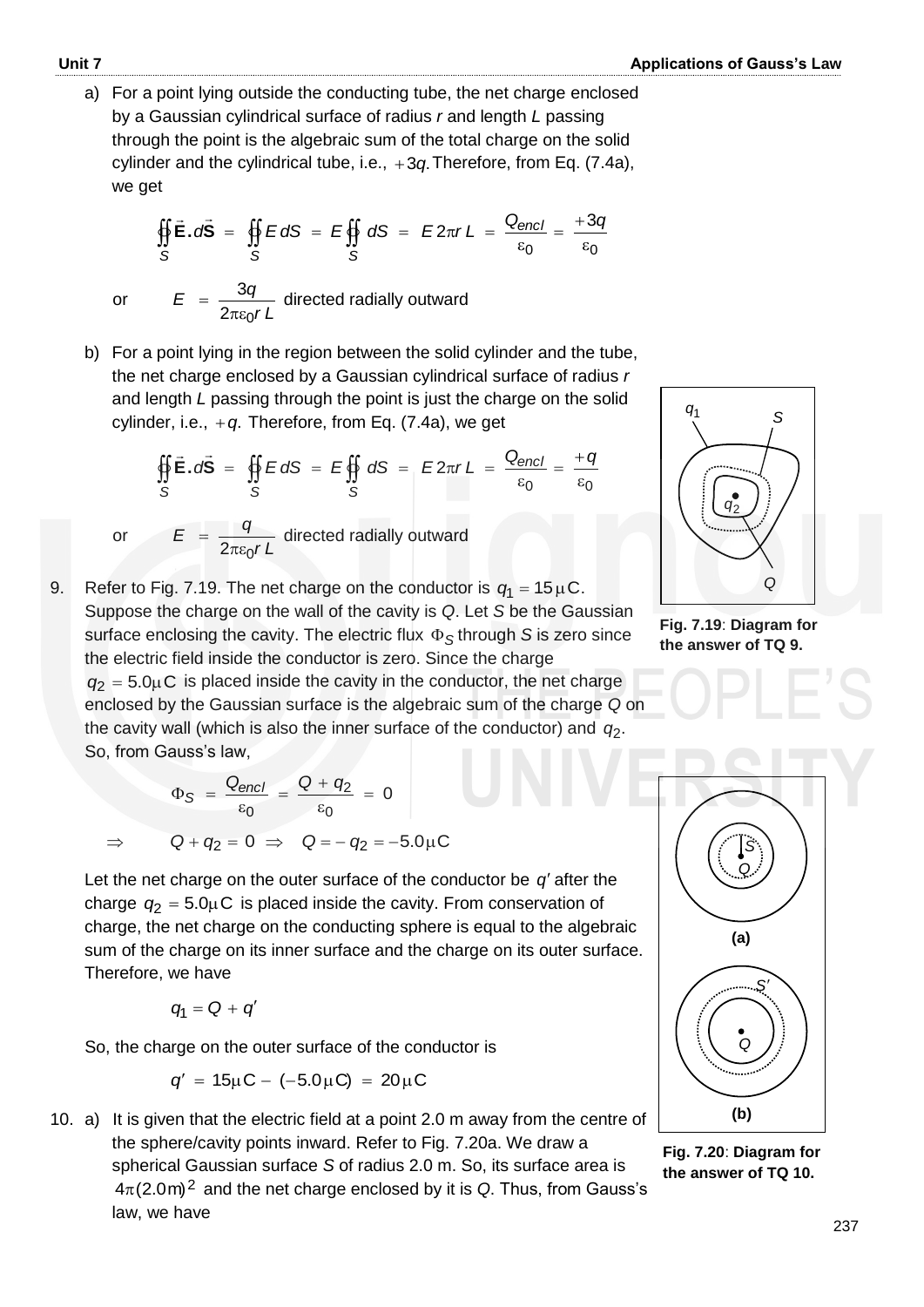a) For a point lying outside the conducting tube, the net charge enclosed by a Gaussian cylindrical surface of radius *r* and length *L* passing through the point is the algebraic sum of the total charge on the solid cylinder and the cylindrical tube, i.e., +3q. Therefore, from Eq. (7.4a), we get

$$
\oint_{S} \vec{E} \cdot d\vec{S} = \oint_{S} E dS = E \oint_{S} dS = E 2\pi rL = \frac{Q_{encl}}{\varepsilon_0} = \frac{+3q}{\varepsilon_0}
$$

or

 $=$ 

$$
E = \frac{3q}{2\pi\varepsilon_0 r L}
$$
 directed radially outward

b) For a point lying in the region between the solid cylinder and the tube, the net charge enclosed by a Gaussian cylindrical surface of radius *r* and length *L* passing through the point is just the charge on the solid cylinder, i.e.,  $+q$ . Therefore, from Eq. (7.4a), we get

$$
\oint_S \vec{E} \cdot d\vec{S} = \oint_S E dS = E \oint_S dS = E 2\pi r L = \frac{Q_{encl}}{\varepsilon_0} = \frac{+q}{\varepsilon_0}
$$

or

$$
E = \frac{q}{2\pi\varepsilon_0 r L}
$$
 directed radially outward

9. Refer to Fig. 7.19. The net charge on the conductor is  $q_1 = 15 \,\mu\text{C}$ . Suppose the charge on the wall of the cavity is *Q*. Let *S* be the Gaussian surface enclosing the cavity. The electric flux  $\Phi_{\mathcal{S}}$ through *S* is zero since the electric field inside the conductor is zero. Since the charge  $q_2 = 5.0 \mu C$  is placed inside the cavity in the conductor, the net charge enclosed by the Gaussian surface is the algebraic sum of the charge *Q* on the cavity wall (which is also the inner surface of the conductor) and  $q_2$ . So, from Gauss's law,

$$
\Phi_{\mathcal{S}} = \frac{Q_{\text{encl}}}{\epsilon_0} = \frac{Q + q_2}{\epsilon_0} = 0
$$

$$
\Rightarrow \qquad Q + q_2 = 0 \Rightarrow \qquad Q = -q_2 = -5.0 \mu C
$$

Let the net charge on the outer surface of the conductor be  $q'$  after the charge  $q_2 = 5.0 \mu C$  is placed inside the cavity. From conservation of charge, the net charge on the conducting sphere is equal to the algebraic sum of the charge on its inner surface and the charge on its outer surface. Therefore, we have

$$
q_1 = Q + q'
$$

So, the charge on the outer surface of the conductor is

$$
q' = 15 \mu C - (-5.0 \mu C) = 20 \mu C
$$

10. a) It is given that the electric field at a point 2.0 m away from the centre of the sphere/cavity points inward. Refer to Fig. 7.20a. We draw a spherical Gaussian surface *S* of radius 2.0 m. So, its surface area is  $4\pi$ (2.0m)<sup>2</sup> and the net charge enclosed by it is Q. Thus, from Gauss's law, we have



**Fig. 7.19**: **Diagram for the answer of TQ 9.** 



**Fig. 7.20**: **Diagram for the answer of TQ 10.**